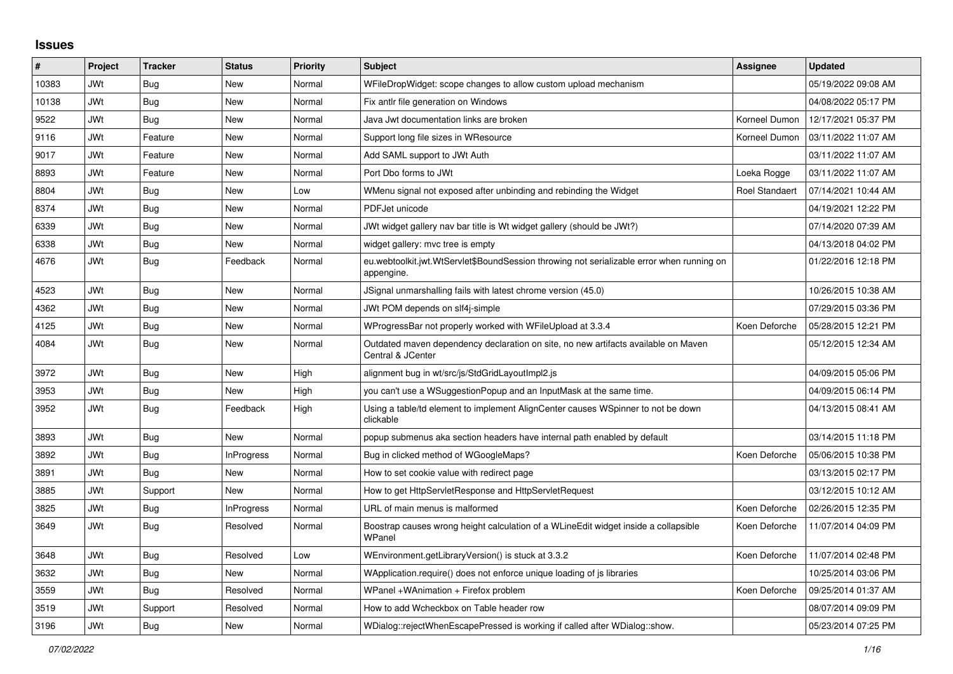## **Issues**

| #     | Project    | <b>Tracker</b> | <b>Status</b>     | Priority | <b>Subject</b>                                                                                          | Assignee       | <b>Updated</b>      |
|-------|------------|----------------|-------------------|----------|---------------------------------------------------------------------------------------------------------|----------------|---------------------|
| 10383 | <b>JWt</b> | Bug            | <b>New</b>        | Normal   | WFileDropWidget: scope changes to allow custom upload mechanism                                         |                | 05/19/2022 09:08 AM |
| 10138 | <b>JWt</b> | <b>Bug</b>     | <b>New</b>        | Normal   | Fix antlr file generation on Windows                                                                    |                | 04/08/2022 05:17 PM |
| 9522  | JWt        | Bug            | New               | Normal   | Java Jwt documentation links are broken                                                                 | Korneel Dumon  | 12/17/2021 05:37 PM |
| 9116  | <b>JWt</b> | Feature        | <b>New</b>        | Normal   | Support long file sizes in WResource                                                                    | Korneel Dumon  | 03/11/2022 11:07 AM |
| 9017  | JWt        | Feature        | New               | Normal   | Add SAML support to JWt Auth                                                                            |                | 03/11/2022 11:07 AM |
| 8893  | JWt        | Feature        | New               | Normal   | Port Dbo forms to JWt                                                                                   | Loeka Rogge    | 03/11/2022 11:07 AM |
| 8804  | JWt        | Bug            | <b>New</b>        | Low      | WMenu signal not exposed after unbinding and rebinding the Widget                                       | Roel Standaert | 07/14/2021 10:44 AM |
| 8374  | JWt        | Bug            | <b>New</b>        | Normal   | PDFJet unicode                                                                                          |                | 04/19/2021 12:22 PM |
| 6339  | <b>JWt</b> | <b>Bug</b>     | <b>New</b>        | Normal   | JWt widget gallery nav bar title is Wt widget gallery (should be JWt?)                                  |                | 07/14/2020 07:39 AM |
| 6338  | JWt        | <b>Bug</b>     | <b>New</b>        | Normal   | widget gallery: mvc tree is empty                                                                       |                | 04/13/2018 04:02 PM |
| 4676  | JWt        | Bug            | Feedback          | Normal   | eu.webtoolkit.jwt.WtServlet\$BoundSession throwing not serializable error when running on<br>appengine. |                | 01/22/2016 12:18 PM |
| 4523  | JWt        | Bug            | <b>New</b>        | Normal   | JSignal unmarshalling fails with latest chrome version (45.0)                                           |                | 10/26/2015 10:38 AM |
| 4362  | JWt        | Bug            | <b>New</b>        | Normal   | JWt POM depends on slf4j-simple                                                                         |                | 07/29/2015 03:36 PM |
| 4125  | <b>JWt</b> | <b>Bug</b>     | New               | Normal   | WProgressBar not properly worked with WFileUpload at 3.3.4                                              | Koen Deforche  | 05/28/2015 12:21 PM |
| 4084  | JWt        | <b>Bug</b>     | <b>New</b>        | Normal   | Outdated maven dependency declaration on site, no new artifacts available on Maven<br>Central & JCenter |                | 05/12/2015 12:34 AM |
| 3972  | JWt        | Bug            | New               | High     | alignment bug in wt/src/js/StdGridLayoutImpl2.js                                                        |                | 04/09/2015 05:06 PM |
| 3953  | JWt        | <b>Bug</b>     | New               | High     | you can't use a WSuggestionPopup and an InputMask at the same time.                                     |                | 04/09/2015 06:14 PM |
| 3952  | <b>JWt</b> | <b>Bug</b>     | Feedback          | High     | Using a table/td element to implement AlignCenter causes WSpinner to not be down<br>clickable           |                | 04/13/2015 08:41 AM |
| 3893  | <b>JWt</b> | <b>Bug</b>     | <b>New</b>        | Normal   | popup submenus aka section headers have internal path enabled by default                                |                | 03/14/2015 11:18 PM |
| 3892  | <b>JWt</b> | Bug            | <b>InProgress</b> | Normal   | Bug in clicked method of WGoogleMaps?                                                                   | Koen Deforche  | 05/06/2015 10:38 PM |
| 3891  | JWt        | Bug            | New               | Normal   | How to set cookie value with redirect page                                                              |                | 03/13/2015 02:17 PM |
| 3885  | JWt        | Support        | New               | Normal   | How to get HttpServletResponse and HttpServletRequest                                                   |                | 03/12/2015 10:12 AM |
| 3825  | <b>JWt</b> | <b>Bug</b>     | InProgress        | Normal   | URL of main menus is malformed                                                                          | Koen Deforche  | 02/26/2015 12:35 PM |
| 3649  | JWt        | Bug            | Resolved          | Normal   | Boostrap causes wrong height calculation of a WLineEdit widget inside a collapsible<br>WPanel           | Koen Deforche  | 11/07/2014 04:09 PM |
| 3648  | <b>JWt</b> | Bug            | Resolved          | Low      | WEnvironment.getLibraryVersion() is stuck at 3.3.2                                                      | Koen Deforche  | 11/07/2014 02:48 PM |
| 3632  | JWt        | Bug            | New               | Normal   | WApplication.require() does not enforce unique loading of is libraries                                  |                | 10/25/2014 03:06 PM |
| 3559  | JWt        | <b>Bug</b>     | Resolved          | Normal   | WPanel +WAnimation + Firefox problem                                                                    | Koen Deforche  | 09/25/2014 01:37 AM |
| 3519  | <b>JWt</b> | Support        | Resolved          | Normal   | How to add Wcheckbox on Table header row                                                                |                | 08/07/2014 09:09 PM |
| 3196  | JWt        | Bug            | New               | Normal   | WDialog::rejectWhenEscapePressed is working if called after WDialog::show.                              |                | 05/23/2014 07:25 PM |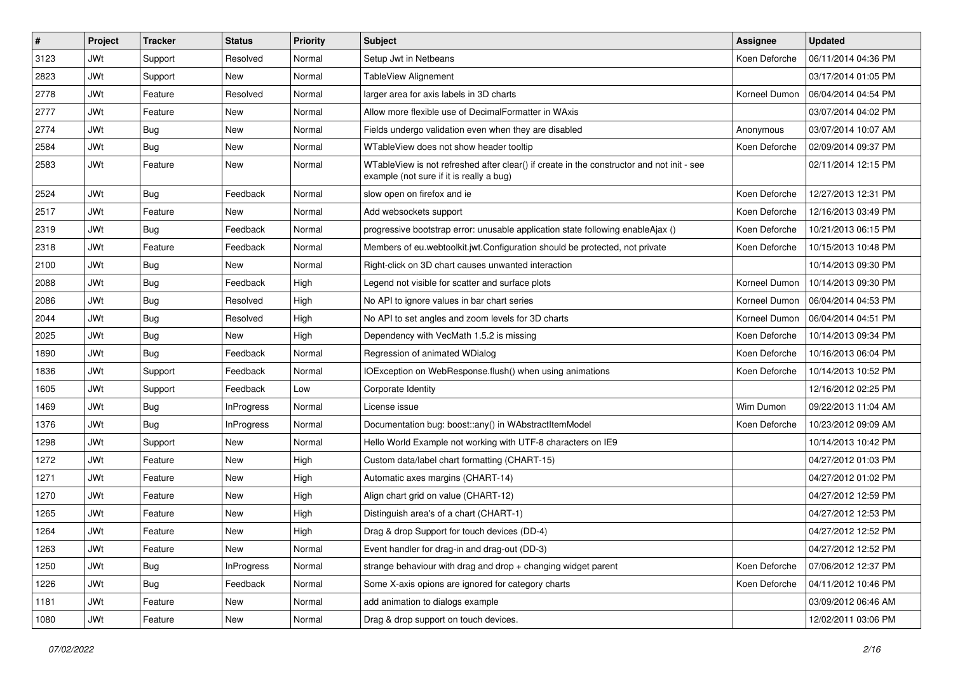| $\vert$ # | Project    | <b>Tracker</b> | <b>Status</b>     | Priority | Subject                                                                                                                               | <b>Assignee</b> | <b>Updated</b>      |
|-----------|------------|----------------|-------------------|----------|---------------------------------------------------------------------------------------------------------------------------------------|-----------------|---------------------|
| 3123      | JWt        | Support        | Resolved          | Normal   | Setup Jwt in Netbeans                                                                                                                 | Koen Deforche   | 06/11/2014 04:36 PM |
| 2823      | <b>JWt</b> | Support        | <b>New</b>        | Normal   | TableView Alignement                                                                                                                  |                 | 03/17/2014 01:05 PM |
| 2778      | JWt        | Feature        | Resolved          | Normal   | larger area for axis labels in 3D charts                                                                                              | Korneel Dumon   | 06/04/2014 04:54 PM |
| 2777      | <b>JWt</b> | Feature        | New               | Normal   | Allow more flexible use of DecimalFormatter in WAxis                                                                                  |                 | 03/07/2014 04:02 PM |
| 2774      | <b>JWt</b> | <b>Bug</b>     | <b>New</b>        | Normal   | Fields undergo validation even when they are disabled                                                                                 | Anonymous       | 03/07/2014 10:07 AM |
| 2584      | <b>JWt</b> | Bug            | New               | Normal   | WTableView does not show header tooltip                                                                                               | Koen Deforche   | 02/09/2014 09:37 PM |
| 2583      | JWt        | Feature        | New               | Normal   | WTableView is not refreshed after clear() if create in the constructor and not init - see<br>example (not sure if it is really a bug) |                 | 02/11/2014 12:15 PM |
| 2524      | <b>JWt</b> | Bug            | Feedback          | Normal   | slow open on firefox and ie                                                                                                           | Koen Deforche   | 12/27/2013 12:31 PM |
| 2517      | <b>JWt</b> | Feature        | <b>New</b>        | Normal   | Add websockets support                                                                                                                | Koen Deforche   | 12/16/2013 03:49 PM |
| 2319      | JWt        | Bug            | Feedback          | Normal   | progressive bootstrap error: unusable application state following enableAjax ()                                                       | Koen Deforche   | 10/21/2013 06:15 PM |
| 2318      | <b>JWt</b> | Feature        | Feedback          | Normal   | Members of eu webtoolkit jwt. Configuration should be protected, not private                                                          | Koen Deforche   | 10/15/2013 10:48 PM |
| 2100      | <b>JWt</b> | <b>Bug</b>     | New               | Normal   | Right-click on 3D chart causes unwanted interaction                                                                                   |                 | 10/14/2013 09:30 PM |
| 2088      | JWt        | <b>Bug</b>     | Feedback          | High     | Legend not visible for scatter and surface plots                                                                                      | Korneel Dumon   | 10/14/2013 09:30 PM |
| 2086      | <b>JWt</b> | <b>Bug</b>     | Resolved          | High     | No API to ignore values in bar chart series                                                                                           | Korneel Dumon   | 06/04/2014 04:53 PM |
| 2044      | JWt        | <b>Bug</b>     | Resolved          | High     | No API to set angles and zoom levels for 3D charts                                                                                    | Korneel Dumon   | 06/04/2014 04:51 PM |
| 2025      | <b>JWt</b> | <b>Bug</b>     | New               | High     | Dependency with VecMath 1.5.2 is missing                                                                                              | Koen Deforche   | 10/14/2013 09:34 PM |
| 1890      | <b>JWt</b> | <b>Bug</b>     | Feedback          | Normal   | Regression of animated WDialog                                                                                                        | Koen Deforche   | 10/16/2013 06:04 PM |
| 1836      | JWt        | Support        | Feedback          | Normal   | IOException on WebResponse.flush() when using animations                                                                              | Koen Deforche   | 10/14/2013 10:52 PM |
| 1605      | JWt        | Support        | Feedback          | Low      | Corporate Identity                                                                                                                    |                 | 12/16/2012 02:25 PM |
| 1469      | JWt        | <b>Bug</b>     | <b>InProgress</b> | Normal   | License issue                                                                                                                         | Wim Dumon       | 09/22/2013 11:04 AM |
| 1376      | <b>JWt</b> | <b>Bug</b>     | <b>InProgress</b> | Normal   | Documentation bug: boost::any() in WAbstractItemModel                                                                                 | Koen Deforche   | 10/23/2012 09:09 AM |
| 1298      | <b>JWt</b> | Support        | <b>New</b>        | Normal   | Hello World Example not working with UTF-8 characters on IE9                                                                          |                 | 10/14/2013 10:42 PM |
| 1272      | JWt        | Feature        | New               | High     | Custom data/label chart formatting (CHART-15)                                                                                         |                 | 04/27/2012 01:03 PM |
| 1271      | <b>JWt</b> | Feature        | New               | High     | Automatic axes margins (CHART-14)                                                                                                     |                 | 04/27/2012 01:02 PM |
| 1270      | JWt        | Feature        | <b>New</b>        | High     | Align chart grid on value (CHART-12)                                                                                                  |                 | 04/27/2012 12:59 PM |
| 1265      | JWt        | Feature        | New               | High     | Distinguish area's of a chart (CHART-1)                                                                                               |                 | 04/27/2012 12:53 PM |
| 1264      | JWt        | Feature        | New               | High     | Drag & drop Support for touch devices (DD-4)                                                                                          |                 | 04/27/2012 12:52 PM |
| 1263      | <b>JWt</b> | Feature        | New               | Normal   | Event handler for drag-in and drag-out (DD-3)                                                                                         |                 | 04/27/2012 12:52 PM |
| 1250      | <b>JWt</b> | <b>Bug</b>     | <b>InProgress</b> | Normal   | strange behaviour with drag and drop + changing widget parent                                                                         | Koen Deforche   | 07/06/2012 12:37 PM |
| 1226      | <b>JWt</b> | <b>Bug</b>     | Feedback          | Normal   | Some X-axis opions are ignored for category charts                                                                                    | Koen Deforche   | 04/11/2012 10:46 PM |
| 1181      | JWt        | Feature        | New               | Normal   | add animation to dialogs example                                                                                                      |                 | 03/09/2012 06:46 AM |
| 1080      | JWt        | Feature        | New               | Normal   | Drag & drop support on touch devices.                                                                                                 |                 | 12/02/2011 03:06 PM |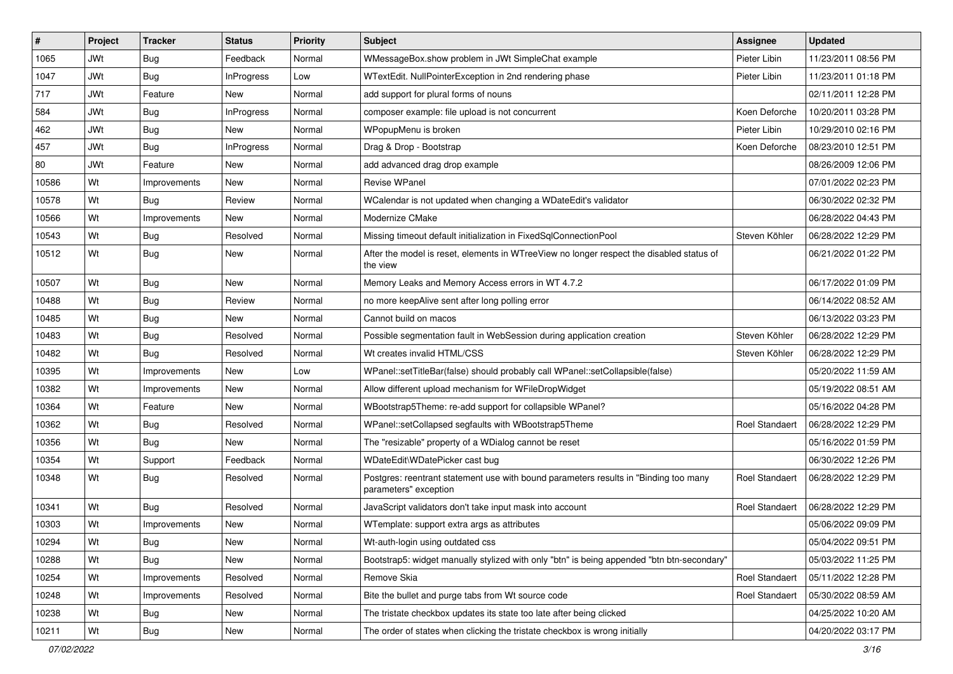| #     | Project    | <b>Tracker</b> | <b>Status</b>     | Priority | Subject                                                                                                       | <b>Assignee</b>       | <b>Updated</b>      |
|-------|------------|----------------|-------------------|----------|---------------------------------------------------------------------------------------------------------------|-----------------------|---------------------|
| 1065  | JWt        | <b>Bug</b>     | Feedback          | Normal   | WMessageBox.show problem in JWt SimpleChat example                                                            | Pieter Libin          | 11/23/2011 08:56 PM |
| 1047  | JWt        | Bug            | <b>InProgress</b> | Low      | WTextEdit. NullPointerException in 2nd rendering phase                                                        | Pieter Libin          | 11/23/2011 01:18 PM |
| 717   | JWt        | Feature        | <b>New</b>        | Normal   | add support for plural forms of nouns                                                                         |                       | 02/11/2011 12:28 PM |
| 584   | JWt        | <b>Bug</b>     | <b>InProgress</b> | Normal   | composer example: file upload is not concurrent                                                               | Koen Deforche         | 10/20/2011 03:28 PM |
| 462   | <b>JWt</b> | <b>Bug</b>     | <b>New</b>        | Normal   | WPopupMenu is broken                                                                                          | Pieter Libin          | 10/29/2010 02:16 PM |
| 457   | JWt        | Bug            | <b>InProgress</b> | Normal   | Drag & Drop - Bootstrap                                                                                       | Koen Deforche         | 08/23/2010 12:51 PM |
| 80    | <b>JWt</b> | Feature        | New               | Normal   | add advanced drag drop example                                                                                |                       | 08/26/2009 12:06 PM |
| 10586 | Wt         | Improvements   | <b>New</b>        | Normal   | <b>Revise WPanel</b>                                                                                          |                       | 07/01/2022 02:23 PM |
| 10578 | Wt         | Bug            | Review            | Normal   | WCalendar is not updated when changing a WDateEdit's validator                                                |                       | 06/30/2022 02:32 PM |
| 10566 | Wt         | Improvements   | New               | Normal   | Modernize CMake                                                                                               |                       | 06/28/2022 04:43 PM |
| 10543 | Wt         | <b>Bug</b>     | Resolved          | Normal   | Missing timeout default initialization in FixedSqlConnectionPool                                              | Steven Köhler         | 06/28/2022 12:29 PM |
| 10512 | Wt         | <b>Bug</b>     | <b>New</b>        | Normal   | After the model is reset, elements in WTreeView no longer respect the disabled status of<br>the view          |                       | 06/21/2022 01:22 PM |
| 10507 | Wt         | <b>Bug</b>     | New               | Normal   | Memory Leaks and Memory Access errors in WT 4.7.2                                                             |                       | 06/17/2022 01:09 PM |
| 10488 | Wt         | <b>Bug</b>     | Review            | Normal   | no more keepAlive sent after long polling error                                                               |                       | 06/14/2022 08:52 AM |
| 10485 | Wt         | <b>Bug</b>     | <b>New</b>        | Normal   | Cannot build on macos                                                                                         |                       | 06/13/2022 03:23 PM |
| 10483 | Wt         | Bug            | Resolved          | Normal   | Possible segmentation fault in WebSession during application creation                                         | Steven Köhler         | 06/28/2022 12:29 PM |
| 10482 | Wt         | Bug            | Resolved          | Normal   | Wt creates invalid HTML/CSS                                                                                   | Steven Köhler         | 06/28/2022 12:29 PM |
| 10395 | Wt         | Improvements   | New               | Low      | WPanel::setTitleBar(false) should probably call WPanel::setCollapsible(false)                                 |                       | 05/20/2022 11:59 AM |
| 10382 | Wt         | Improvements   | New               | Normal   | Allow different upload mechanism for WFileDropWidget                                                          |                       | 05/19/2022 08:51 AM |
| 10364 | Wt         | Feature        | <b>New</b>        | Normal   | WBootstrap5Theme: re-add support for collapsible WPanel?                                                      |                       | 05/16/2022 04:28 PM |
| 10362 | Wt         | Bug            | Resolved          | Normal   | WPanel::setCollapsed segfaults with WBootstrap5Theme                                                          | <b>Roel Standaert</b> | 06/28/2022 12:29 PM |
| 10356 | Wt         | Bug            | New               | Normal   | The "resizable" property of a WDialog cannot be reset                                                         |                       | 05/16/2022 01:59 PM |
| 10354 | Wt         | Support        | Feedback          | Normal   | WDateEdit\WDatePicker cast bug                                                                                |                       | 06/30/2022 12:26 PM |
| 10348 | Wt         | <b>Bug</b>     | Resolved          | Normal   | Postgres: reentrant statement use with bound parameters results in "Binding too many<br>parameters" exception | <b>Roel Standaert</b> | 06/28/2022 12:29 PM |
| 10341 | Wt         | Bug            | Resolved          | Normal   | JavaScript validators don't take input mask into account                                                      | <b>Roel Standaert</b> | 06/28/2022 12:29 PM |
| 10303 | Wt         | Improvements   | New               | Normal   | WTemplate: support extra args as attributes                                                                   |                       | 05/06/2022 09:09 PM |
| 10294 | Wt         | <b>Bug</b>     | New               | Normal   | Wt-auth-login using outdated css                                                                              |                       | 05/04/2022 09:51 PM |
| 10288 | Wt         | Bug            | New               | Normal   | Bootstrap5: widget manually stylized with only "btn" is being appended "btn btn-secondary"                    |                       | 05/03/2022 11:25 PM |
| 10254 | Wt         | Improvements   | Resolved          | Normal   | Remove Skia                                                                                                   | <b>Roel Standaert</b> | 05/11/2022 12:28 PM |
| 10248 | Wt         | Improvements   | Resolved          | Normal   | Bite the bullet and purge tabs from Wt source code                                                            | <b>Roel Standaert</b> | 05/30/2022 08:59 AM |
| 10238 | Wt         | <b>Bug</b>     | New               | Normal   | The tristate checkbox updates its state too late after being clicked                                          |                       | 04/25/2022 10:20 AM |
| 10211 | Wt         | <b>Bug</b>     | New               | Normal   | The order of states when clicking the tristate checkbox is wrong initially                                    |                       | 04/20/2022 03:17 PM |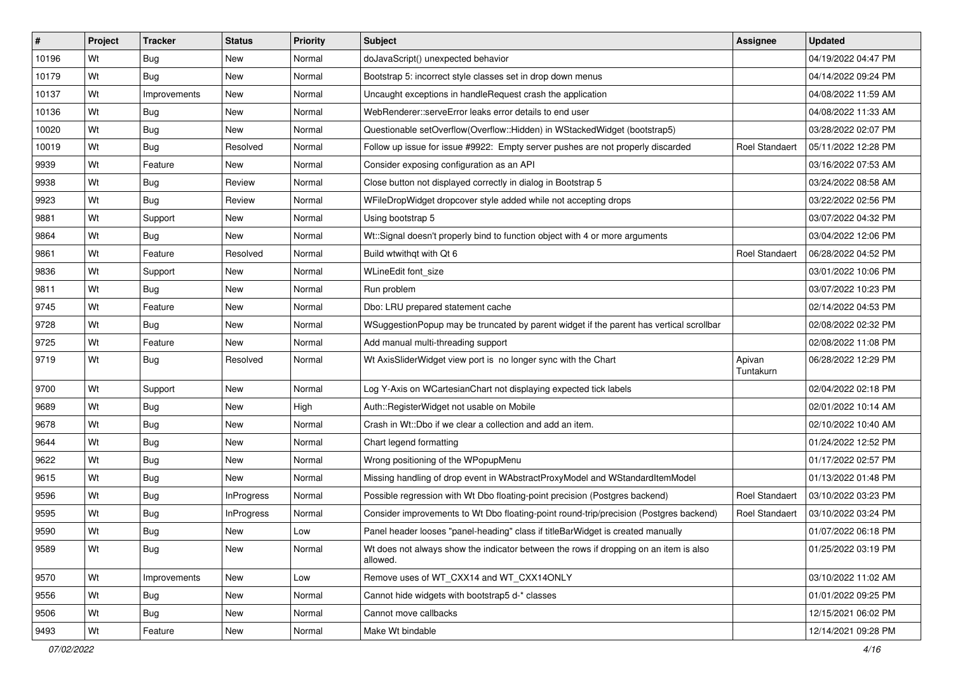| $\vert$ # | Project | <b>Tracker</b> | <b>Status</b>     | Priority | Subject                                                                                           | <b>Assignee</b>       | <b>Updated</b>      |
|-----------|---------|----------------|-------------------|----------|---------------------------------------------------------------------------------------------------|-----------------------|---------------------|
| 10196     | Wt      | <b>Bug</b>     | New               | Normal   | doJavaScript() unexpected behavior                                                                |                       | 04/19/2022 04:47 PM |
| 10179     | Wt      | Bug            | New               | Normal   | Bootstrap 5: incorrect style classes set in drop down menus                                       |                       | 04/14/2022 09:24 PM |
| 10137     | Wt      | Improvements   | New               | Normal   | Uncaught exceptions in handleRequest crash the application                                        |                       | 04/08/2022 11:59 AM |
| 10136     | Wt      | <b>Bug</b>     | New               | Normal   | WebRenderer::serveError leaks error details to end user                                           |                       | 04/08/2022 11:33 AM |
| 10020     | Wt      | Bug            | New               | Normal   | Questionable setOverflow(Overflow::Hidden) in WStackedWidget (bootstrap5)                         |                       | 03/28/2022 02:07 PM |
| 10019     | Wt      | <b>Bug</b>     | Resolved          | Normal   | Follow up issue for issue #9922: Empty server pushes are not properly discarded                   | <b>Roel Standaert</b> | 05/11/2022 12:28 PM |
| 9939      | Wt      | Feature        | New               | Normal   | Consider exposing configuration as an API                                                         |                       | 03/16/2022 07:53 AM |
| 9938      | Wt      | Bug            | Review            | Normal   | Close button not displayed correctly in dialog in Bootstrap 5                                     |                       | 03/24/2022 08:58 AM |
| 9923      | Wt      | Bug            | Review            | Normal   | WFileDropWidget dropcover style added while not accepting drops                                   |                       | 03/22/2022 02:56 PM |
| 9881      | Wt      | Support        | New               | Normal   | Using bootstrap 5                                                                                 |                       | 03/07/2022 04:32 PM |
| 9864      | Wt      | <b>Bug</b>     | New               | Normal   | Wt::Signal doesn't properly bind to function object with 4 or more arguments                      |                       | 03/04/2022 12:06 PM |
| 9861      | Wt      | Feature        | Resolved          | Normal   | Build wtwithgt with Qt 6                                                                          | <b>Roel Standaert</b> | 06/28/2022 04:52 PM |
| 9836      | Wt      | Support        | New               | Normal   | WLineEdit font_size                                                                               |                       | 03/01/2022 10:06 PM |
| 9811      | Wt      | Bug            | New               | Normal   | Run problem                                                                                       |                       | 03/07/2022 10:23 PM |
| 9745      | Wt      | Feature        | New               | Normal   | Dbo: LRU prepared statement cache                                                                 |                       | 02/14/2022 04:53 PM |
| 9728      | Wt      | Bug            | New               | Normal   | WSuggestionPopup may be truncated by parent widget if the parent has vertical scrollbar           |                       | 02/08/2022 02:32 PM |
| 9725      | Wt      | Feature        | New               | Normal   | Add manual multi-threading support                                                                |                       | 02/08/2022 11:08 PM |
| 9719      | Wt      | Bug            | Resolved          | Normal   | Wt AxisSliderWidget view port is no longer sync with the Chart                                    | Apivan<br>Tuntakurn   | 06/28/2022 12:29 PM |
| 9700      | Wt      | Support        | New               | Normal   | Log Y-Axis on WCartesianChart not displaying expected tick labels                                 |                       | 02/04/2022 02:18 PM |
| 9689      | Wt      | Bug            | New               | High     | Auth::RegisterWidget not usable on Mobile                                                         |                       | 02/01/2022 10:14 AM |
| 9678      | Wt      | Bug            | New               | Normal   | Crash in Wt::Dbo if we clear a collection and add an item.                                        |                       | 02/10/2022 10:40 AM |
| 9644      | Wt      | Bug            | New               | Normal   | Chart legend formatting                                                                           |                       | 01/24/2022 12:52 PM |
| 9622      | Wt      | <b>Bug</b>     | New               | Normal   | Wrong positioning of the WPopupMenu                                                               |                       | 01/17/2022 02:57 PM |
| 9615      | Wt      | <b>Bug</b>     | New               | Normal   | Missing handling of drop event in WAbstractProxyModel and WStandardItemModel                      |                       | 01/13/2022 01:48 PM |
| 9596      | Wt      | Bug            | <b>InProgress</b> | Normal   | Possible regression with Wt Dbo floating-point precision (Postgres backend)                       | Roel Standaert        | 03/10/2022 03:23 PM |
| 9595      | Wt      | Bug            | <b>InProgress</b> | Normal   | Consider improvements to Wt Dbo floating-point round-trip/precision (Postgres backend)            | Roel Standaert        | 03/10/2022 03:24 PM |
| 9590      | Wt      | <b>Bug</b>     | New               | Low      | Panel header looses "panel-heading" class if titleBarWidget is created manually                   |                       | 01/07/2022 06:18 PM |
| 9589      | Wt      | <b>Bug</b>     | New               | Normal   | Wt does not always show the indicator between the rows if dropping on an item is also<br>allowed. |                       | 01/25/2022 03:19 PM |
| 9570      | Wt      | Improvements   | <b>New</b>        | Low      | Remove uses of WT CXX14 and WT CXX14ONLY                                                          |                       | 03/10/2022 11:02 AM |
| 9556      | Wt      | <b>Bug</b>     | New               | Normal   | Cannot hide widgets with bootstrap5 d-* classes                                                   |                       | 01/01/2022 09:25 PM |
| 9506      | Wt      | <b>Bug</b>     | New               | Normal   | Cannot move callbacks                                                                             |                       | 12/15/2021 06:02 PM |
| 9493      | Wt      | Feature        | New               | Normal   | Make Wt bindable                                                                                  |                       | 12/14/2021 09:28 PM |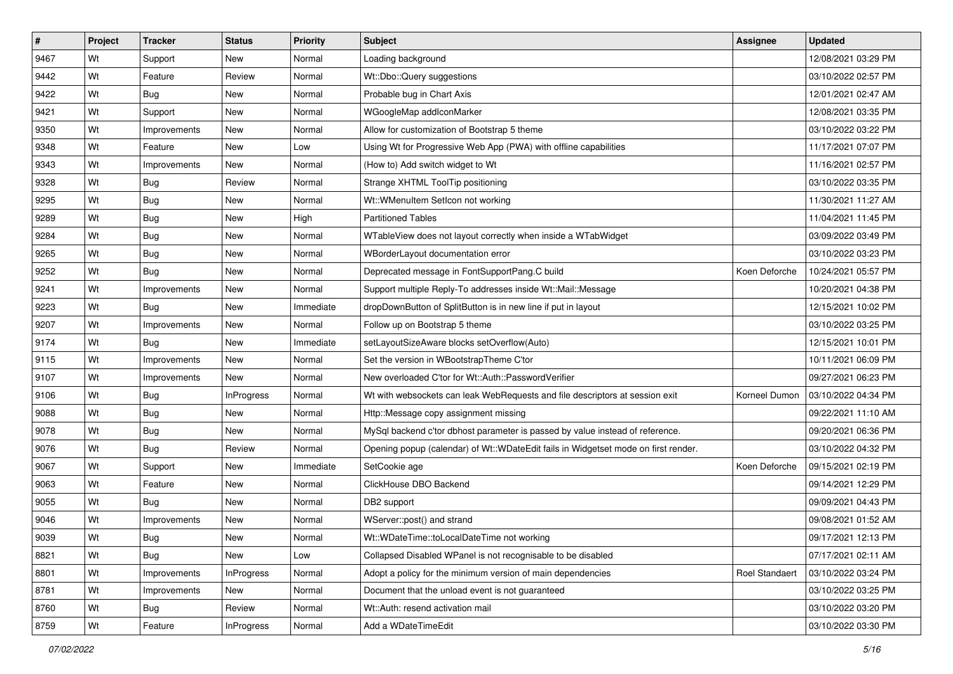| #    | Project | <b>Tracker</b> | <b>Status</b>     | <b>Priority</b> | Subject                                                                            | <b>Assignee</b> | <b>Updated</b>      |
|------|---------|----------------|-------------------|-----------------|------------------------------------------------------------------------------------|-----------------|---------------------|
| 9467 | Wt      | Support        | New               | Normal          | Loading background                                                                 |                 | 12/08/2021 03:29 PM |
| 9442 | Wt      | Feature        | Review            | Normal          | Wt::Dbo::Query suggestions                                                         |                 | 03/10/2022 02:57 PM |
| 9422 | Wt      | <b>Bug</b>     | New               | Normal          | Probable bug in Chart Axis                                                         |                 | 12/01/2021 02:47 AM |
| 9421 | Wt      | Support        | <b>New</b>        | Normal          | WGoogleMap addlconMarker                                                           |                 | 12/08/2021 03:35 PM |
| 9350 | Wt      | Improvements   | <b>New</b>        | Normal          | Allow for customization of Bootstrap 5 theme                                       |                 | 03/10/2022 03:22 PM |
| 9348 | Wt      | Feature        | New               | Low             | Using Wt for Progressive Web App (PWA) with offline capabilities                   |                 | 11/17/2021 07:07 PM |
| 9343 | Wt      | Improvements   | New               | Normal          | (How to) Add switch widget to Wt                                                   |                 | 11/16/2021 02:57 PM |
| 9328 | Wt      | <b>Bug</b>     | Review            | Normal          | Strange XHTML ToolTip positioning                                                  |                 | 03/10/2022 03:35 PM |
| 9295 | Wt      | <b>Bug</b>     | <b>New</b>        | Normal          | Wt::WMenuItem SetIcon not working                                                  |                 | 11/30/2021 11:27 AM |
| 9289 | Wt      | Bug            | New               | High            | <b>Partitioned Tables</b>                                                          |                 | 11/04/2021 11:45 PM |
| 9284 | Wt      | <b>Bug</b>     | New               | Normal          | WTableView does not layout correctly when inside a WTabWidget                      |                 | 03/09/2022 03:49 PM |
| 9265 | Wt      | <b>Bug</b>     | New               | Normal          | WBorderLayout documentation error                                                  |                 | 03/10/2022 03:23 PM |
| 9252 | Wt      | Bug            | <b>New</b>        | Normal          | Deprecated message in FontSupportPang.C build                                      | Koen Deforche   | 10/24/2021 05:57 PM |
| 9241 | Wt      | Improvements   | New               | Normal          | Support multiple Reply-To addresses inside Wt::Mail::Message                       |                 | 10/20/2021 04:38 PM |
| 9223 | Wt      | Bug            | <b>New</b>        | Immediate       | dropDownButton of SplitButton is in new line if put in layout                      |                 | 12/15/2021 10:02 PM |
| 9207 | Wt      | Improvements   | New               | Normal          | Follow up on Bootstrap 5 theme                                                     |                 | 03/10/2022 03:25 PM |
| 9174 | Wt      | Bug            | <b>New</b>        | Immediate       | setLayoutSizeAware blocks setOverflow(Auto)                                        |                 | 12/15/2021 10:01 PM |
| 9115 | Wt      | Improvements   | <b>New</b>        | Normal          | Set the version in WBootstrapTheme C'tor                                           |                 | 10/11/2021 06:09 PM |
| 9107 | Wt      | Improvements   | New               | Normal          | New overloaded C'tor for Wt::Auth::PasswordVerifier                                |                 | 09/27/2021 06:23 PM |
| 9106 | Wt      | Bug            | <b>InProgress</b> | Normal          | Wt with websockets can leak WebRequests and file descriptors at session exit       | Korneel Dumon   | 03/10/2022 04:34 PM |
| 9088 | Wt      | <b>Bug</b>     | New               | Normal          | Http::Message copy assignment missing                                              |                 | 09/22/2021 11:10 AM |
| 9078 | Wt      | <b>Bug</b>     | <b>New</b>        | Normal          | MySql backend c'tor dbhost parameter is passed by value instead of reference.      |                 | 09/20/2021 06:36 PM |
| 9076 | Wt      | Bug            | Review            | Normal          | Opening popup (calendar) of Wt::WDateEdit fails in Widgetset mode on first render. |                 | 03/10/2022 04:32 PM |
| 9067 | Wt      | Support        | New               | Immediate       | SetCookie age                                                                      | Koen Deforche   | 09/15/2021 02:19 PM |
| 9063 | Wt      | Feature        | New               | Normal          | ClickHouse DBO Backend                                                             |                 | 09/14/2021 12:29 PM |
| 9055 | Wt      | <b>Bug</b>     | <b>New</b>        | Normal          | DB2 support                                                                        |                 | 09/09/2021 04:43 PM |
| 9046 | Wt      | Improvements   | New               | Normal          | WServer::post() and strand                                                         |                 | 09/08/2021 01:52 AM |
| 9039 | Wt      | <b>Bug</b>     | New               | Normal          | Wt::WDateTime::toLocalDateTime not working                                         |                 | 09/17/2021 12:13 PM |
| 8821 | Wt      | <b>Bug</b>     | New               | Low             | Collapsed Disabled WPanel is not recognisable to be disabled                       |                 | 07/17/2021 02:11 AM |
| 8801 | Wt      | Improvements   | <b>InProgress</b> | Normal          | Adopt a policy for the minimum version of main dependencies                        | Roel Standaert  | 03/10/2022 03:24 PM |
| 8781 | Wt      | Improvements   | New               | Normal          | Document that the unload event is not guaranteed                                   |                 | 03/10/2022 03:25 PM |
| 8760 | Wt      | Bug            | Review            | Normal          | Wt::Auth: resend activation mail                                                   |                 | 03/10/2022 03:20 PM |
| 8759 | Wt      | Feature        | <b>InProgress</b> | Normal          | Add a WDateTimeEdit                                                                |                 | 03/10/2022 03:30 PM |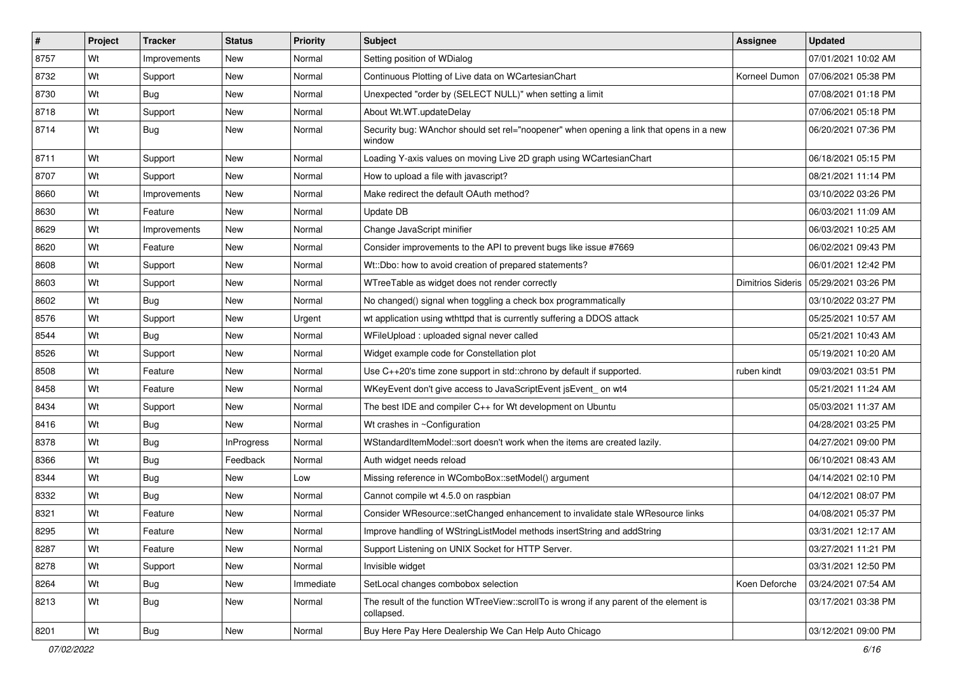| #    | Project | <b>Tracker</b> | <b>Status</b>     | Priority  | Subject                                                                                               | <b>Assignee</b> | <b>Updated</b>                          |
|------|---------|----------------|-------------------|-----------|-------------------------------------------------------------------------------------------------------|-----------------|-----------------------------------------|
| 8757 | Wt      | Improvements   | New               | Normal    | Setting position of WDialog                                                                           |                 | 07/01/2021 10:02 AM                     |
| 8732 | Wt      | Support        | New               | Normal    | Continuous Plotting of Live data on WCartesianChart                                                   | Korneel Dumon   | 07/06/2021 05:38 PM                     |
| 8730 | Wt      | <b>Bug</b>     | New               | Normal    | Unexpected "order by (SELECT NULL)" when setting a limit                                              |                 | 07/08/2021 01:18 PM                     |
| 8718 | Wt      | Support        | New               | Normal    | About Wt.WT.updateDelay                                                                               |                 | 07/06/2021 05:18 PM                     |
| 8714 | Wt      | <b>Bug</b>     | <b>New</b>        | Normal    | Security bug: WAnchor should set rel="noopener" when opening a link that opens in a new<br>window     |                 | 06/20/2021 07:36 PM                     |
| 8711 | Wt      | Support        | New               | Normal    | Loading Y-axis values on moving Live 2D graph using WCartesianChart                                   |                 | 06/18/2021 05:15 PM                     |
| 8707 | Wt      | Support        | New               | Normal    | How to upload a file with javascript?                                                                 |                 | 08/21/2021 11:14 PM                     |
| 8660 | Wt      | Improvements   | New               | Normal    | Make redirect the default OAuth method?                                                               |                 | 03/10/2022 03:26 PM                     |
| 8630 | Wt      | Feature        | <b>New</b>        | Normal    | Update DB                                                                                             |                 | 06/03/2021 11:09 AM                     |
| 8629 | Wt      | Improvements   | New               | Normal    | Change JavaScript minifier                                                                            |                 | 06/03/2021 10:25 AM                     |
| 8620 | Wt      | Feature        | New               | Normal    | Consider improvements to the API to prevent bugs like issue #7669                                     |                 | 06/02/2021 09:43 PM                     |
| 8608 | Wt      | Support        | New               | Normal    | Wt::Dbo: how to avoid creation of prepared statements?                                                |                 | 06/01/2021 12:42 PM                     |
| 8603 | Wt      | Support        | New               | Normal    | WTreeTable as widget does not render correctly                                                        |                 | Dimitrios Sideris   05/29/2021 03:26 PM |
| 8602 | Wt      | Bug            | New               | Normal    | No changed() signal when toggling a check box programmatically                                        |                 | 03/10/2022 03:27 PM                     |
| 8576 | Wt      | Support        | New               | Urgent    | wt application using wthttpd that is currently suffering a DDOS attack                                |                 | 05/25/2021 10:57 AM                     |
| 8544 | Wt      | <b>Bug</b>     | New               | Normal    | WFileUpload : uploaded signal never called                                                            |                 | 05/21/2021 10:43 AM                     |
| 8526 | Wt      | Support        | New               | Normal    | Widget example code for Constellation plot                                                            |                 | 05/19/2021 10:20 AM                     |
| 8508 | Wt      | Feature        | New               | Normal    | Use C++20's time zone support in std::chrono by default if supported.                                 | ruben kindt     | 09/03/2021 03:51 PM                     |
| 8458 | Wt      | Feature        | New               | Normal    | WKeyEvent don't give access to JavaScriptEvent jsEvent_on wt4                                         |                 | 05/21/2021 11:24 AM                     |
| 8434 | Wt      | Support        | New               | Normal    | The best IDE and compiler C++ for Wt development on Ubuntu                                            |                 | 05/03/2021 11:37 AM                     |
| 8416 | Wt      | Bug            | New               | Normal    | Wt crashes in ~Configuration                                                                          |                 | 04/28/2021 03:25 PM                     |
| 8378 | Wt      | Bug            | <b>InProgress</b> | Normal    | WStandardItemModel::sort doesn't work when the items are created lazily.                              |                 | 04/27/2021 09:00 PM                     |
| 8366 | Wt      | <b>Bug</b>     | Feedback          | Normal    | Auth widget needs reload                                                                              |                 | 06/10/2021 08:43 AM                     |
| 8344 | Wt      | Bug            | New               | Low       | Missing reference in WComboBox::setModel() argument                                                   |                 | 04/14/2021 02:10 PM                     |
| 8332 | Wt      | Bug            | New               | Normal    | Cannot compile wt 4.5.0 on raspbian                                                                   |                 | 04/12/2021 08:07 PM                     |
| 8321 | Wt      | Feature        | New               | Normal    | Consider WResource::setChanged enhancement to invalidate stale WResource links                        |                 | 04/08/2021 05:37 PM                     |
| 8295 | Wt      | Feature        | New               | Normal    | Improve handling of WStringListModel methods insertString and addString                               |                 | 03/31/2021 12:17 AM                     |
| 8287 | Wt      | Feature        | New               | Normal    | Support Listening on UNIX Socket for HTTP Server.                                                     |                 | 03/27/2021 11:21 PM                     |
| 8278 | Wt      | Support        | New               | Normal    | Invisible widget                                                                                      |                 | 03/31/2021 12:50 PM                     |
| 8264 | Wt      | <b>Bug</b>     | New               | Immediate | SetLocal changes combobox selection                                                                   | Koen Deforche   | 03/24/2021 07:54 AM                     |
| 8213 | Wt      | <b>Bug</b>     | New               | Normal    | The result of the function WTreeView::scrollTo is wrong if any parent of the element is<br>collapsed. |                 | 03/17/2021 03:38 PM                     |
| 8201 | Wt      | <b>Bug</b>     | New               | Normal    | Buy Here Pay Here Dealership We Can Help Auto Chicago                                                 |                 | 03/12/2021 09:00 PM                     |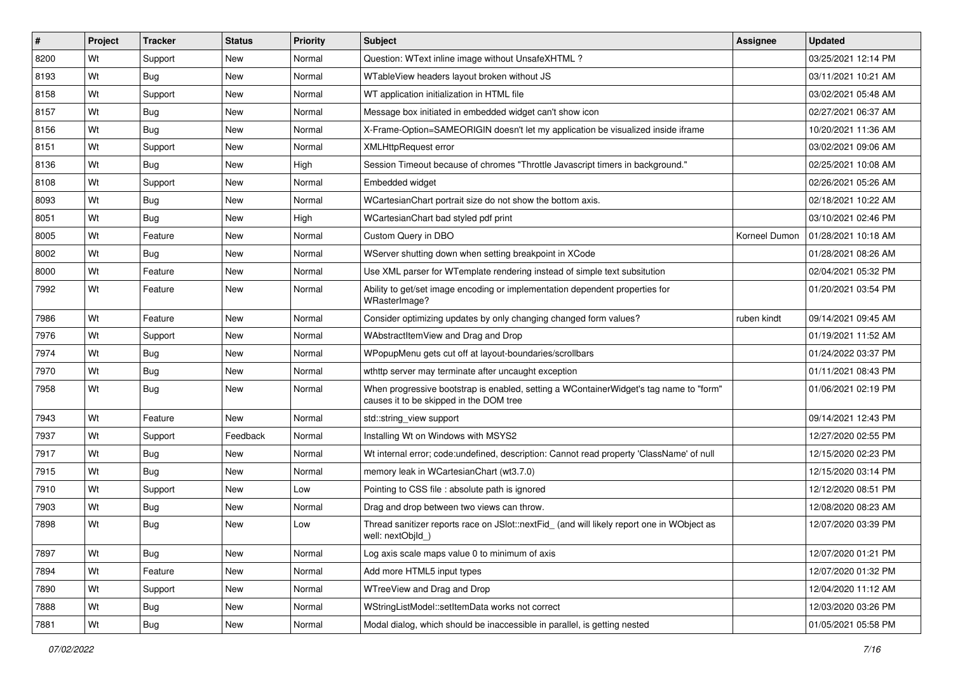| #    | Project | <b>Tracker</b>   | <b>Status</b> | Priority | Subject                                                                                                                           | <b>Assignee</b> | <b>Updated</b>      |
|------|---------|------------------|---------------|----------|-----------------------------------------------------------------------------------------------------------------------------------|-----------------|---------------------|
| 8200 | Wt      | Support          | New           | Normal   | Question: WText inline image without UnsafeXHTML?                                                                                 |                 | 03/25/2021 12:14 PM |
| 8193 | Wt      | Bug              | New           | Normal   | WTableView headers layout broken without JS                                                                                       |                 | 03/11/2021 10:21 AM |
| 8158 | Wt      | Support          | New           | Normal   | WT application initialization in HTML file                                                                                        |                 | 03/02/2021 05:48 AM |
| 8157 | Wt      | Bug              | New           | Normal   | Message box initiated in embedded widget can't show icon                                                                          |                 | 02/27/2021 06:37 AM |
| 8156 | Wt      | Bug              | New           | Normal   | X-Frame-Option=SAMEORIGIN doesn't let my application be visualized inside iframe                                                  |                 | 10/20/2021 11:36 AM |
| 8151 | Wt      | Support          | New           | Normal   | <b>XMLHttpRequest error</b>                                                                                                       |                 | 03/02/2021 09:06 AM |
| 8136 | Wt      | Bug              | New           | High     | Session Timeout because of chromes "Throttle Javascript timers in background."                                                    |                 | 02/25/2021 10:08 AM |
| 8108 | Wt      | Support          | New           | Normal   | Embedded widget                                                                                                                   |                 | 02/26/2021 05:26 AM |
| 8093 | Wt      | <b>Bug</b>       | New           | Normal   | WCartesianChart portrait size do not show the bottom axis.                                                                        |                 | 02/18/2021 10:22 AM |
| 8051 | Wt      | Bug              | <b>New</b>    | High     | WCartesianChart bad styled pdf print                                                                                              |                 | 03/10/2021 02:46 PM |
| 8005 | Wt      | Feature          | New           | Normal   | Custom Query in DBO                                                                                                               | Korneel Dumon   | 01/28/2021 10:18 AM |
| 8002 | Wt      | Bug              | New           | Normal   | WServer shutting down when setting breakpoint in XCode                                                                            |                 | 01/28/2021 08:26 AM |
| 8000 | Wt      | Feature          | New           | Normal   | Use XML parser for WTemplate rendering instead of simple text subsitution                                                         |                 | 02/04/2021 05:32 PM |
| 7992 | Wt      | Feature          | New           | Normal   | Ability to get/set image encoding or implementation dependent properties for<br>WRasterImage?                                     |                 | 01/20/2021 03:54 PM |
| 7986 | Wt      | Feature          | <b>New</b>    | Normal   | Consider optimizing updates by only changing changed form values?                                                                 | ruben kindt     | 09/14/2021 09:45 AM |
| 7976 | Wt      | Support          | New           | Normal   | WAbstractItemView and Drag and Drop                                                                                               |                 | 01/19/2021 11:52 AM |
| 7974 | Wt      | Bug              | New           | Normal   | WPopupMenu gets cut off at layout-boundaries/scrollbars                                                                           |                 | 01/24/2022 03:37 PM |
| 7970 | Wt      | <b>Bug</b>       | New           | Normal   | wthttp server may terminate after uncaught exception                                                                              |                 | 01/11/2021 08:43 PM |
| 7958 | Wt      | <b>Bug</b>       | New           | Normal   | When progressive bootstrap is enabled, setting a WContainerWidget's tag name to "form"<br>causes it to be skipped in the DOM tree |                 | 01/06/2021 02:19 PM |
| 7943 | Wt      | Feature          | New           | Normal   | std::string_view support                                                                                                          |                 | 09/14/2021 12:43 PM |
| 7937 | Wt      | Support          | Feedback      | Normal   | Installing Wt on Windows with MSYS2                                                                                               |                 | 12/27/2020 02:55 PM |
| 7917 | Wt      | Bug              | New           | Normal   | Wt internal error; code: undefined, description: Cannot read property 'ClassName' of null                                         |                 | 12/15/2020 02:23 PM |
| 7915 | Wt      | Bug              | New           | Normal   | memory leak in WCartesianChart (wt3.7.0)                                                                                          |                 | 12/15/2020 03:14 PM |
| 7910 | Wt      | Support          | New           | Low      | Pointing to CSS file : absolute path is ignored                                                                                   |                 | 12/12/2020 08:51 PM |
| 7903 | Wt      | <b>Bug</b>       | New           | Normal   | Drag and drop between two views can throw.                                                                                        |                 | 12/08/2020 08:23 AM |
| 7898 | Wt      | Bug              | New           | Low      | Thread sanitizer reports race on JSlot::nextFid_ (and will likely report one in WObject as<br>well: nextObjId_)                   |                 | 12/07/2020 03:39 PM |
| 7897 | Wt      | Bug              | <b>New</b>    | Normal   | Log axis scale maps value 0 to minimum of axis                                                                                    |                 | 12/07/2020 01:21 PM |
| 7894 | Wt      | Feature          | New           | Normal   | Add more HTML5 input types                                                                                                        |                 | 12/07/2020 01:32 PM |
| 7890 | Wt      | Support          | New           | Normal   | WTreeView and Drag and Drop                                                                                                       |                 | 12/04/2020 11:12 AM |
| 7888 | Wt      | <b>Bug</b>       | New           | Normal   | WStringListModel::setItemData works not correct                                                                                   |                 | 12/03/2020 03:26 PM |
| 7881 | Wt      | <sub>I</sub> Bug | New           | Normal   | Modal dialog, which should be inaccessible in parallel, is getting nested                                                         |                 | 01/05/2021 05:58 PM |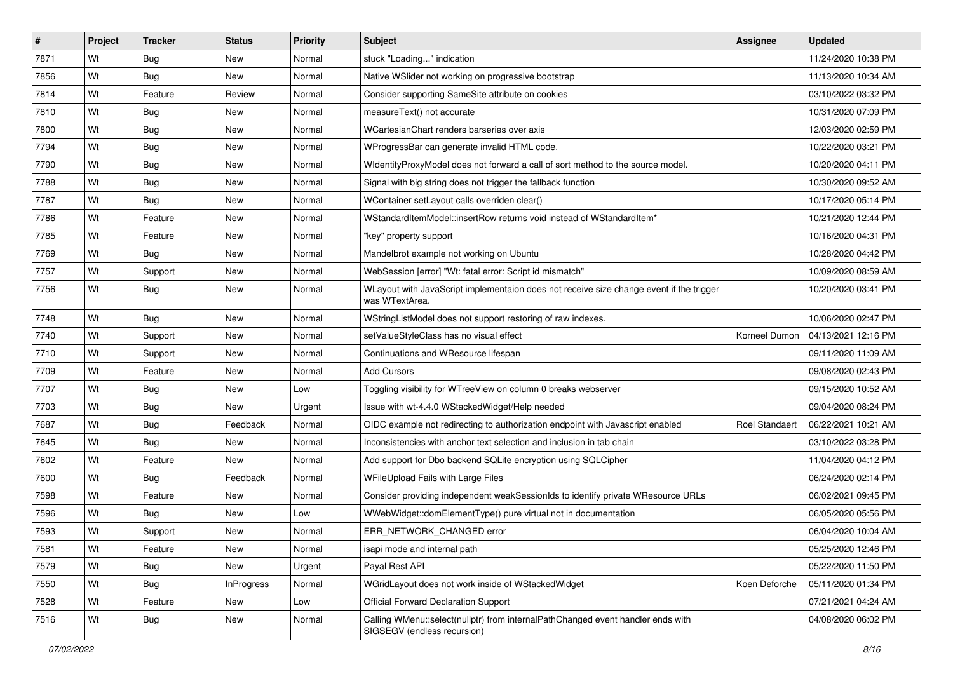| #    | Project | <b>Tracker</b> | <b>Status</b>     | Priority | Subject                                                                                                        | <b>Assignee</b> | <b>Updated</b>      |
|------|---------|----------------|-------------------|----------|----------------------------------------------------------------------------------------------------------------|-----------------|---------------------|
| 7871 | Wt      | <b>Bug</b>     | New               | Normal   | stuck "Loading" indication                                                                                     |                 | 11/24/2020 10:38 PM |
| 7856 | Wt      | Bug            | New               | Normal   | Native WSIider not working on progressive bootstrap                                                            |                 | 11/13/2020 10:34 AM |
| 7814 | Wt      | Feature        | Review            | Normal   | Consider supporting SameSite attribute on cookies                                                              |                 | 03/10/2022 03:32 PM |
| 7810 | Wt      | Bug            | New               | Normal   | measureText() not accurate                                                                                     |                 | 10/31/2020 07:09 PM |
| 7800 | Wt      | Bug            | New               | Normal   | WCartesianChart renders barseries over axis                                                                    |                 | 12/03/2020 02:59 PM |
| 7794 | Wt      | <b>Bug</b>     | New               | Normal   | WProgressBar can generate invalid HTML code.                                                                   |                 | 10/22/2020 03:21 PM |
| 7790 | Wt      | Bug            | New               | Normal   | WidentityProxyModel does not forward a call of sort method to the source model.                                |                 | 10/20/2020 04:11 PM |
| 7788 | Wt      | Bug            | New               | Normal   | Signal with big string does not trigger the fallback function                                                  |                 | 10/30/2020 09:52 AM |
| 7787 | Wt      | <b>Bug</b>     | New               | Normal   | WContainer setLayout calls overriden clear()                                                                   |                 | 10/17/2020 05:14 PM |
| 7786 | Wt      | Feature        | New               | Normal   | WStandardItemModel::insertRow returns void instead of WStandardItem*                                           |                 | 10/21/2020 12:44 PM |
| 7785 | Wt      | Feature        | New               | Normal   | "key" property support                                                                                         |                 | 10/16/2020 04:31 PM |
| 7769 | Wt      | Bug            | New               | Normal   | Mandelbrot example not working on Ubuntu                                                                       |                 | 10/28/2020 04:42 PM |
| 7757 | Wt      | Support        | New               | Normal   | WebSession [error] "Wt: fatal error: Script id mismatch"                                                       |                 | 10/09/2020 08:59 AM |
| 7756 | Wt      | <b>Bug</b>     | New               | Normal   | WLayout with JavaScript implementaion does not receive size change event if the trigger<br>was WTextArea.      |                 | 10/20/2020 03:41 PM |
| 7748 | Wt      | Bug            | New               | Normal   | WStringListModel does not support restoring of raw indexes.                                                    |                 | 10/06/2020 02:47 PM |
| 7740 | Wt      | Support        | New               | Normal   | setValueStyleClass has no visual effect                                                                        | Korneel Dumon   | 04/13/2021 12:16 PM |
| 7710 | Wt      | Support        | New               | Normal   | Continuations and WResource lifespan                                                                           |                 | 09/11/2020 11:09 AM |
| 7709 | Wt      | Feature        | New               | Normal   | <b>Add Cursors</b>                                                                                             |                 | 09/08/2020 02:43 PM |
| 7707 | Wt      | Bug            | New               | Low      | Toggling visibility for WTreeView on column 0 breaks webserver                                                 |                 | 09/15/2020 10:52 AM |
| 7703 | Wt      | <b>Bug</b>     | New               | Urgent   | Issue with wt-4.4.0 WStackedWidget/Help needed                                                                 |                 | 09/04/2020 08:24 PM |
| 7687 | Wt      | Bug            | Feedback          | Normal   | OIDC example not redirecting to authorization endpoint with Javascript enabled                                 | Roel Standaert  | 06/22/2021 10:21 AM |
| 7645 | Wt      | Bug            | New               | Normal   | Inconsistencies with anchor text selection and inclusion in tab chain                                          |                 | 03/10/2022 03:28 PM |
| 7602 | Wt      | Feature        | New               | Normal   | Add support for Dbo backend SQLite encryption using SQLCipher                                                  |                 | 11/04/2020 04:12 PM |
| 7600 | Wt      | Bug            | Feedback          | Normal   | WFileUpload Fails with Large Files                                                                             |                 | 06/24/2020 02:14 PM |
| 7598 | Wt      | Feature        | <b>New</b>        | Normal   | Consider providing independent weakSessionIds to identify private WResource URLs                               |                 | 06/02/2021 09:45 PM |
| 7596 | Wt      | <b>Bug</b>     | New               | Low      | WWebWidget::domElementType() pure virtual not in documentation                                                 |                 | 06/05/2020 05:56 PM |
| 7593 | Wt      | Support        | New               | Normal   | ERR NETWORK CHANGED error                                                                                      |                 | 06/04/2020 10:04 AM |
| 7581 | Wt      | Feature        | New               | Normal   | isapi mode and internal path                                                                                   |                 | 05/25/2020 12:46 PM |
| 7579 | Wt      | <b>Bug</b>     | New               | Urgent   | Payal Rest API                                                                                                 |                 | 05/22/2020 11:50 PM |
| 7550 | Wt      | <b>Bug</b>     | <b>InProgress</b> | Normal   | WGridLayout does not work inside of WStackedWidget                                                             | Koen Deforche   | 05/11/2020 01:34 PM |
| 7528 | Wt      | Feature        | New               | Low      | <b>Official Forward Declaration Support</b>                                                                    |                 | 07/21/2021 04:24 AM |
| 7516 | Wt      | <b>Bug</b>     | New               | Normal   | Calling WMenu::select(nullptr) from internalPathChanged event handler ends with<br>SIGSEGV (endless recursion) |                 | 04/08/2020 06:02 PM |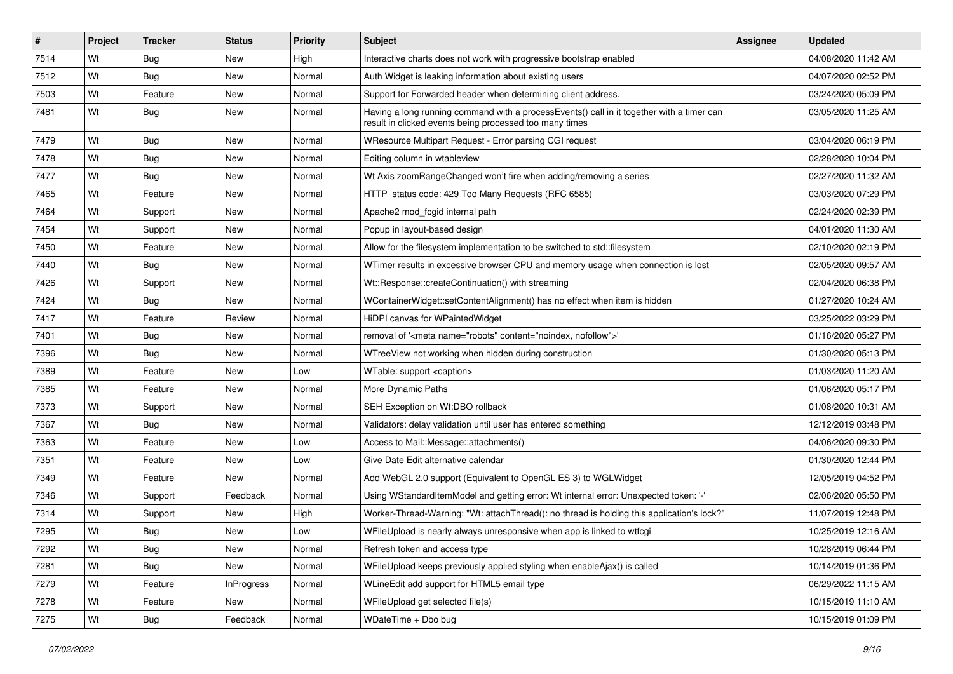| #    | Project | <b>Tracker</b> | <b>Status</b>     | Priority | <b>Subject</b>                                                                                                                                       | <b>Assignee</b> | <b>Updated</b>      |
|------|---------|----------------|-------------------|----------|------------------------------------------------------------------------------------------------------------------------------------------------------|-----------------|---------------------|
| 7514 | Wt      | <b>Bug</b>     | New               | High     | Interactive charts does not work with progressive bootstrap enabled                                                                                  |                 | 04/08/2020 11:42 AM |
| 7512 | Wt      | Bug            | New               | Normal   | Auth Widget is leaking information about existing users                                                                                              |                 | 04/07/2020 02:52 PM |
| 7503 | Wt      | Feature        | New               | Normal   | Support for Forwarded header when determining client address.                                                                                        |                 | 03/24/2020 05:09 PM |
| 7481 | Wt      | <b>Bug</b>     | New               | Normal   | Having a long running command with a processEvents() call in it together with a timer can<br>result in clicked events being processed too many times |                 | 03/05/2020 11:25 AM |
| 7479 | Wt      | Bug            | New               | Normal   | WResource Multipart Request - Error parsing CGI request                                                                                              |                 | 03/04/2020 06:19 PM |
| 7478 | Wt      | <b>Bug</b>     | New               | Normal   | Editing column in wtableview                                                                                                                         |                 | 02/28/2020 10:04 PM |
| 7477 | Wt      | <b>Bug</b>     | New               | Normal   | Wt Axis zoomRangeChanged won't fire when adding/removing a series                                                                                    |                 | 02/27/2020 11:32 AM |
| 7465 | Wt      | Feature        | New               | Normal   | HTTP status code: 429 Too Many Requests (RFC 6585)                                                                                                   |                 | 03/03/2020 07:29 PM |
| 7464 | Wt      | Support        | New               | Normal   | Apache2 mod_fcgid internal path                                                                                                                      |                 | 02/24/2020 02:39 PM |
| 7454 | Wt      | Support        | New               | Normal   | Popup in layout-based design                                                                                                                         |                 | 04/01/2020 11:30 AM |
| 7450 | Wt      | Feature        | New               | Normal   | Allow for the filesystem implementation to be switched to std::filesystem                                                                            |                 | 02/10/2020 02:19 PM |
| 7440 | Wt      | <b>Bug</b>     | New               | Normal   | WTimer results in excessive browser CPU and memory usage when connection is lost                                                                     |                 | 02/05/2020 09:57 AM |
| 7426 | Wt      | Support        | New               | Normal   | Wt::Response::createContinuation() with streaming                                                                                                    |                 | 02/04/2020 06:38 PM |
| 7424 | Wt      | Bug            | New               | Normal   | WContainerWidget::setContentAlignment() has no effect when item is hidden                                                                            |                 | 01/27/2020 10:24 AM |
| 7417 | Wt      | Feature        | Review            | Normal   | HiDPI canvas for WPaintedWidget                                                                                                                      |                 | 03/25/2022 03:29 PM |
| 7401 | Wt      | <b>Bug</b>     | New               | Normal   | removal of ' <meta content="noindex, nofollow" name="robots"/> '                                                                                     |                 | 01/16/2020 05:27 PM |
| 7396 | Wt      | Bug            | New               | Normal   | WTreeView not working when hidden during construction                                                                                                |                 | 01/30/2020 05:13 PM |
| 7389 | Wt      | Feature        | New               | Low      | WTable: support <caption></caption>                                                                                                                  |                 | 01/03/2020 11:20 AM |
| 7385 | Wt      | Feature        | New               | Normal   | More Dynamic Paths                                                                                                                                   |                 | 01/06/2020 05:17 PM |
| 7373 | Wt      | Support        | New               | Normal   | SEH Exception on Wt:DBO rollback                                                                                                                     |                 | 01/08/2020 10:31 AM |
| 7367 | Wt      | Bug            | New               | Normal   | Validators: delay validation until user has entered something                                                                                        |                 | 12/12/2019 03:48 PM |
| 7363 | Wt      | Feature        | New               | Low      | Access to Mail::Message::attachments()                                                                                                               |                 | 04/06/2020 09:30 PM |
| 7351 | Wt      | Feature        | New               | Low      | Give Date Edit alternative calendar                                                                                                                  |                 | 01/30/2020 12:44 PM |
| 7349 | Wt      | Feature        | New               | Normal   | Add WebGL 2.0 support (Equivalent to OpenGL ES 3) to WGLWidget                                                                                       |                 | 12/05/2019 04:52 PM |
| 7346 | Wt      | Support        | Feedback          | Normal   | Using WStandardItemModel and getting error: Wt internal error: Unexpected token: '-'                                                                 |                 | 02/06/2020 05:50 PM |
| 7314 | Wt      | Support        | New               | High     | Worker-Thread-Warning: "Wt: attachThread(): no thread is holding this application's lock?"                                                           |                 | 11/07/2019 12:48 PM |
| 7295 | Wt      | Bug            | New               | Low      | WFileUpload is nearly always unresponsive when app is linked to wtfcqi                                                                               |                 | 10/25/2019 12:16 AM |
| 7292 | Wt      | <b>Bug</b>     | New               | Normal   | Refresh token and access type                                                                                                                        |                 | 10/28/2019 06:44 PM |
| 7281 | Wt      | <b>Bug</b>     | New               | Normal   | WFileUpload keeps previously applied styling when enableAjax() is called                                                                             |                 | 10/14/2019 01:36 PM |
| 7279 | Wt      | Feature        | <b>InProgress</b> | Normal   | WLineEdit add support for HTML5 email type                                                                                                           |                 | 06/29/2022 11:15 AM |
| 7278 | Wt      | Feature        | New               | Normal   | WFileUpload get selected file(s)                                                                                                                     |                 | 10/15/2019 11:10 AM |
| 7275 | Wt      | <b>Bug</b>     | Feedback          | Normal   | WDateTime + Dbo bug                                                                                                                                  |                 | 10/15/2019 01:09 PM |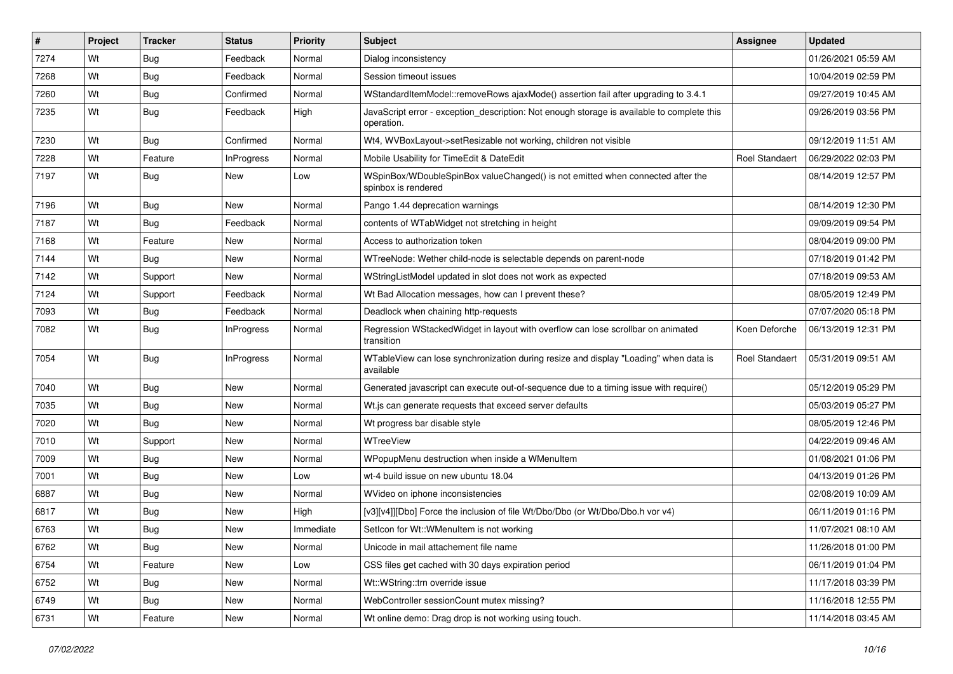| #    | Project | <b>Tracker</b> | <b>Status</b>     | Priority  | <b>Subject</b>                                                                                           | <b>Assignee</b>       | <b>Updated</b>      |
|------|---------|----------------|-------------------|-----------|----------------------------------------------------------------------------------------------------------|-----------------------|---------------------|
| 7274 | Wt      | <b>Bug</b>     | Feedback          | Normal    | Dialog inconsistency                                                                                     |                       | 01/26/2021 05:59 AM |
| 7268 | Wt      | <b>Bug</b>     | Feedback          | Normal    | Session timeout issues                                                                                   |                       | 10/04/2019 02:59 PM |
| 7260 | Wt      | Bug            | Confirmed         | Normal    | WStandardItemModel::removeRows ajaxMode() assertion fail after upgrading to 3.4.1                        |                       | 09/27/2019 10:45 AM |
| 7235 | Wt      | <b>Bug</b>     | Feedback          | High      | JavaScript error - exception_description: Not enough storage is available to complete this<br>operation. |                       | 09/26/2019 03:56 PM |
| 7230 | Wt      | Bug            | Confirmed         | Normal    | Wt4, WVBoxLayout->setResizable not working, children not visible                                         |                       | 09/12/2019 11:51 AM |
| 7228 | Wt      | Feature        | <b>InProgress</b> | Normal    | Mobile Usability for TimeEdit & DateEdit                                                                 | Roel Standaert        | 06/29/2022 02:03 PM |
| 7197 | Wt      | <b>Bug</b>     | New               | Low       | WSpinBox/WDoubleSpinBox valueChanged() is not emitted when connected after the<br>spinbox is rendered    |                       | 08/14/2019 12:57 PM |
| 7196 | Wt      | <b>Bug</b>     | New               | Normal    | Pango 1.44 deprecation warnings                                                                          |                       | 08/14/2019 12:30 PM |
| 7187 | Wt      | <b>Bug</b>     | Feedback          | Normal    | contents of WTabWidget not stretching in height                                                          |                       | 09/09/2019 09:54 PM |
| 7168 | Wt      | Feature        | <b>New</b>        | Normal    | Access to authorization token                                                                            |                       | 08/04/2019 09:00 PM |
| 7144 | Wt      | Bug            | New               | Normal    | WTreeNode: Wether child-node is selectable depends on parent-node                                        |                       | 07/18/2019 01:42 PM |
| 7142 | Wt      | Support        | New               | Normal    | WStringListModel updated in slot does not work as expected                                               |                       | 07/18/2019 09:53 AM |
| 7124 | Wt      | Support        | Feedback          | Normal    | Wt Bad Allocation messages, how can I prevent these?                                                     |                       | 08/05/2019 12:49 PM |
| 7093 | Wt      | Bug            | Feedback          | Normal    | Deadlock when chaining http-requests                                                                     |                       | 07/07/2020 05:18 PM |
| 7082 | Wt      | <b>Bug</b>     | <b>InProgress</b> | Normal    | Regression WStackedWidget in layout with overflow can lose scrollbar on animated<br>transition           | Koen Deforche         | 06/13/2019 12:31 PM |
| 7054 | Wt      | Bug            | <b>InProgress</b> | Normal    | WTableView can lose synchronization during resize and display "Loading" when data is<br>available        | <b>Roel Standaert</b> | 05/31/2019 09:51 AM |
| 7040 | Wt      | <b>Bug</b>     | <b>New</b>        | Normal    | Generated javascript can execute out-of-sequence due to a timing issue with require()                    |                       | 05/12/2019 05:29 PM |
| 7035 | Wt      | Bug            | New               | Normal    | Wt.js can generate requests that exceed server defaults                                                  |                       | 05/03/2019 05:27 PM |
| 7020 | Wt      | <b>Bug</b>     | New               | Normal    | Wt progress bar disable style                                                                            |                       | 08/05/2019 12:46 PM |
| 7010 | Wt      | Support        | New               | Normal    | WTreeView                                                                                                |                       | 04/22/2019 09:46 AM |
| 7009 | Wt      | Bug            | New               | Normal    | WPopupMenu destruction when inside a WMenuItem                                                           |                       | 01/08/2021 01:06 PM |
| 7001 | Wt      | <b>Bug</b>     | New               | Low       | wt-4 build issue on new ubuntu 18.04                                                                     |                       | 04/13/2019 01:26 PM |
| 6887 | Wt      | <b>Bug</b>     | New               | Normal    | WVideo on iphone inconsistencies                                                                         |                       | 02/08/2019 10:09 AM |
| 6817 | Wt      | Bug            | New               | High      | [v3][v4]][Dbo] Force the inclusion of file Wt/Dbo/Dbo (or Wt/Dbo/Dbo.h vor v4)                           |                       | 06/11/2019 01:16 PM |
| 6763 | Wt      | <b>Bug</b>     | New               | Immediate | Setlcon for Wt:: WMenuItem is not working                                                                |                       | 11/07/2021 08:10 AM |
| 6762 | Wt      | <b>Bug</b>     | New               | Normal    | Unicode in mail attachement file name                                                                    |                       | 11/26/2018 01:00 PM |
| 6754 | Wt      | Feature        | New               | Low       | CSS files get cached with 30 days expiration period                                                      |                       | 06/11/2019 01:04 PM |
| 6752 | Wt      | Bug            | New               | Normal    | Wt::WString::trn override issue                                                                          |                       | 11/17/2018 03:39 PM |
| 6749 | Wt      | <b>Bug</b>     | New               | Normal    | WebController sessionCount mutex missing?                                                                |                       | 11/16/2018 12:55 PM |
| 6731 | Wt      | Feature        | New               | Normal    | Wt online demo: Drag drop is not working using touch.                                                    |                       | 11/14/2018 03:45 AM |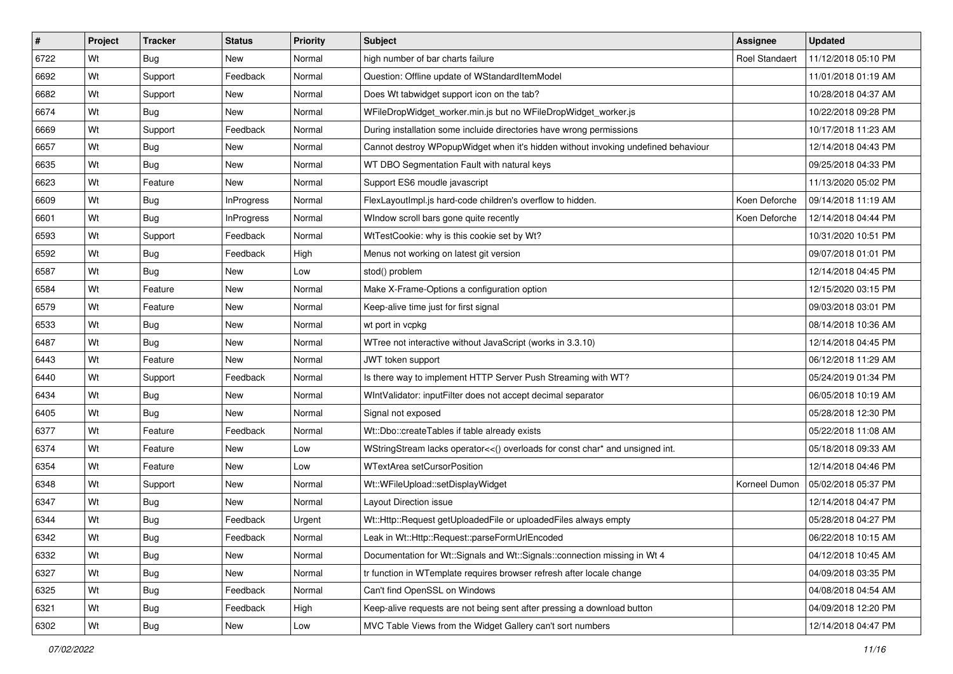| #    | Project | <b>Tracker</b> | <b>Status</b>     | Priority | <b>Subject</b>                                                                    | Assignee              | <b>Updated</b>      |
|------|---------|----------------|-------------------|----------|-----------------------------------------------------------------------------------|-----------------------|---------------------|
| 6722 | Wt      | Bug            | New               | Normal   | high number of bar charts failure                                                 | <b>Roel Standaert</b> | 11/12/2018 05:10 PM |
| 6692 | Wt      | Support        | Feedback          | Normal   | Question: Offline update of WStandardItemModel                                    |                       | 11/01/2018 01:19 AM |
| 6682 | Wt      | Support        | New               | Normal   | Does Wt tabwidget support icon on the tab?                                        |                       | 10/28/2018 04:37 AM |
| 6674 | Wt      | Bug            | <b>New</b>        | Normal   | WFileDropWidget_worker.min.js but no WFileDropWidget_worker.js                    |                       | 10/22/2018 09:28 PM |
| 6669 | Wt      | Support        | Feedback          | Normal   | During installation some incluide directories have wrong permissions              |                       | 10/17/2018 11:23 AM |
| 6657 | Wt      | <b>Bug</b>     | New               | Normal   | Cannot destroy WPopupWidget when it's hidden without invoking undefined behaviour |                       | 12/14/2018 04:43 PM |
| 6635 | Wt      | Bug            | New               | Normal   | WT DBO Segmentation Fault with natural keys                                       |                       | 09/25/2018 04:33 PM |
| 6623 | Wt      | Feature        | New               | Normal   | Support ES6 moudle javascript                                                     |                       | 11/13/2020 05:02 PM |
| 6609 | Wt      | <b>Bug</b>     | <b>InProgress</b> | Normal   | FlexLayoutImpl.js hard-code children's overflow to hidden.                        | Koen Deforche         | 09/14/2018 11:19 AM |
| 6601 | Wt      | Bug            | <b>InProgress</b> | Normal   | WIndow scroll bars gone quite recently                                            | Koen Deforche         | 12/14/2018 04:44 PM |
| 6593 | Wt      | Support        | Feedback          | Normal   | WtTestCookie: why is this cookie set by Wt?                                       |                       | 10/31/2020 10:51 PM |
| 6592 | Wt      | <b>Bug</b>     | Feedback          | High     | Menus not working on latest git version                                           |                       | 09/07/2018 01:01 PM |
| 6587 | Wt      | Bug            | <b>New</b>        | Low      | stod() problem                                                                    |                       | 12/14/2018 04:45 PM |
| 6584 | Wt      | Feature        | New               | Normal   | Make X-Frame-Options a configuration option                                       |                       | 12/15/2020 03:15 PM |
| 6579 | Wt      | Feature        | New               | Normal   | Keep-alive time just for first signal                                             |                       | 09/03/2018 03:01 PM |
| 6533 | Wt      | <b>Bug</b>     | New               | Normal   | wt port in vcpkg                                                                  |                       | 08/14/2018 10:36 AM |
| 6487 | Wt      | Bug            | New               | Normal   | WTree not interactive without JavaScript (works in 3.3.10)                        |                       | 12/14/2018 04:45 PM |
| 6443 | Wt      | Feature        | <b>New</b>        | Normal   | JWT token support                                                                 |                       | 06/12/2018 11:29 AM |
| 6440 | Wt      | Support        | Feedback          | Normal   | Is there way to implement HTTP Server Push Streaming with WT?                     |                       | 05/24/2019 01:34 PM |
| 6434 | Wt      | <b>Bug</b>     | New               | Normal   | WIntValidator: inputFilter does not accept decimal separator                      |                       | 06/05/2018 10:19 AM |
| 6405 | Wt      | <b>Bug</b>     | New               | Normal   | Signal not exposed                                                                |                       | 05/28/2018 12:30 PM |
| 6377 | Wt      | Feature        | Feedback          | Normal   | Wt::Dbo::createTables if table already exists                                     |                       | 05/22/2018 11:08 AM |
| 6374 | Wt      | Feature        | <b>New</b>        | Low      | WStringStream lacks operator<<() overloads for const char* and unsigned int.      |                       | 05/18/2018 09:33 AM |
| 6354 | Wt      | Feature        | New               | Low      | WTextArea setCursorPosition                                                       |                       | 12/14/2018 04:46 PM |
| 6348 | Wt      | Support        | New               | Normal   | Wt::WFileUpload::setDisplayWidget                                                 | Korneel Dumon         | 05/02/2018 05:37 PM |
| 6347 | Wt      | <b>Bug</b>     | <b>New</b>        | Normal   | Layout Direction issue                                                            |                       | 12/14/2018 04:47 PM |
| 6344 | Wt      | Bug            | Feedback          | Urgent   | Wt::Http::Request getUploadedFile or uploadedFiles always empty                   |                       | 05/28/2018 04:27 PM |
| 6342 | Wt      | <b>Bug</b>     | Feedback          | Normal   | Leak in Wt:: Http:: Request:: parseFormUrlEncoded                                 |                       | 06/22/2018 10:15 AM |
| 6332 | Wt      | <b>Bug</b>     | New               | Normal   | Documentation for Wt::Signals and Wt::Signals::connection missing in Wt 4         |                       | 04/12/2018 10:45 AM |
| 6327 | Wt      | <b>Bug</b>     | New               | Normal   | tr function in WTemplate requires browser refresh after locale change             |                       | 04/09/2018 03:35 PM |
| 6325 | Wt      | <b>Bug</b>     | Feedback          | Normal   | Can't find OpenSSL on Windows                                                     |                       | 04/08/2018 04:54 AM |
| 6321 | Wt      | <b>Bug</b>     | Feedback          | High     | Keep-alive requests are not being sent after pressing a download button           |                       | 04/09/2018 12:20 PM |
| 6302 | Wt      | <b>Bug</b>     | New               | Low      | MVC Table Views from the Widget Gallery can't sort numbers                        |                       | 12/14/2018 04:47 PM |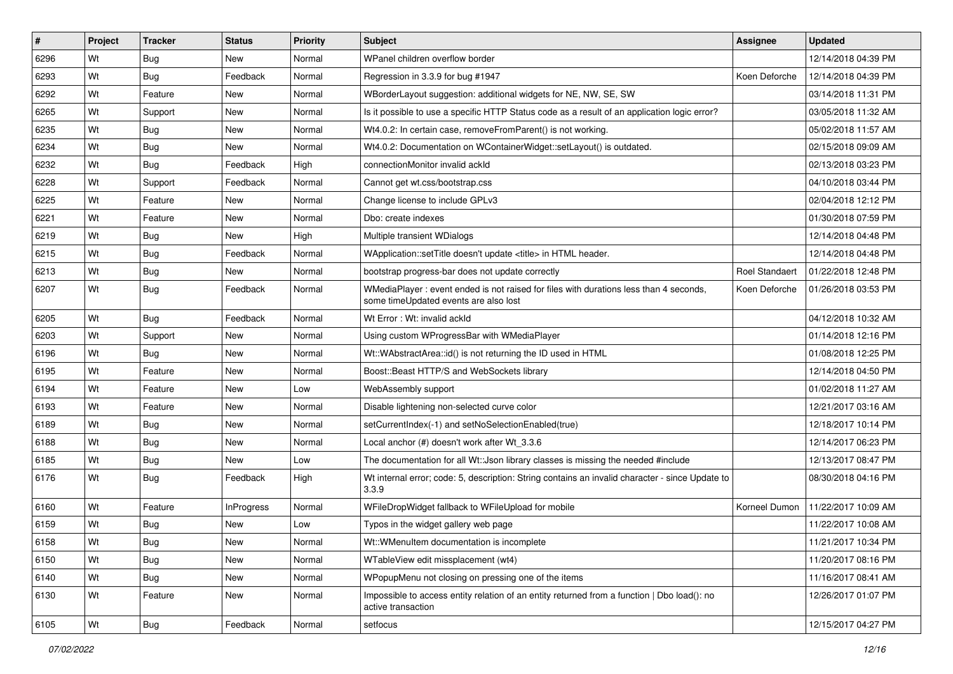| #    | Project | <b>Tracker</b> | <b>Status</b> | Priority | Subject                                                                                                                        | <b>Assignee</b>       | <b>Updated</b>      |
|------|---------|----------------|---------------|----------|--------------------------------------------------------------------------------------------------------------------------------|-----------------------|---------------------|
| 6296 | Wt      | <b>Bug</b>     | New           | Normal   | WPanel children overflow border                                                                                                |                       | 12/14/2018 04:39 PM |
| 6293 | Wt      | Bug            | Feedback      | Normal   | Regression in 3.3.9 for bug #1947                                                                                              | Koen Deforche         | 12/14/2018 04:39 PM |
| 6292 | Wt      | Feature        | New           | Normal   | WBorderLayout suggestion: additional widgets for NE, NW, SE, SW                                                                |                       | 03/14/2018 11:31 PM |
| 6265 | Wt      | Support        | <b>New</b>    | Normal   | Is it possible to use a specific HTTP Status code as a result of an application logic error?                                   |                       | 03/05/2018 11:32 AM |
| 6235 | Wt      | <b>Bug</b>     | <b>New</b>    | Normal   | Wt4.0.2: In certain case, removeFromParent() is not working.                                                                   |                       | 05/02/2018 11:57 AM |
| 6234 | Wt      | <b>Bug</b>     | New           | Normal   | Wt4.0.2: Documentation on WContainerWidget::setLayout() is outdated.                                                           |                       | 02/15/2018 09:09 AM |
| 6232 | Wt      | Bug            | Feedback      | High     | connectionMonitor invalid ackId                                                                                                |                       | 02/13/2018 03:23 PM |
| 6228 | Wt      | Support        | Feedback      | Normal   | Cannot get wt.css/bootstrap.css                                                                                                |                       | 04/10/2018 03:44 PM |
| 6225 | Wt      | Feature        | New           | Normal   | Change license to include GPLv3                                                                                                |                       | 02/04/2018 12:12 PM |
| 6221 | Wt      | Feature        | New           | Normal   | Dbo: create indexes                                                                                                            |                       | 01/30/2018 07:59 PM |
| 6219 | Wt      | <b>Bug</b>     | New           | High     | Multiple transient WDialogs                                                                                                    |                       | 12/14/2018 04:48 PM |
| 6215 | Wt      | <b>Bug</b>     | Feedback      | Normal   | WApplication::setTitle doesn't update <title> in HTML header.</title>                                                          |                       | 12/14/2018 04:48 PM |
| 6213 | Wt      | Bug            | New           | Normal   | bootstrap progress-bar does not update correctly                                                                               | <b>Roel Standaert</b> | 01/22/2018 12:48 PM |
| 6207 | Wt      | Bug            | Feedback      | Normal   | WMediaPlayer: event ended is not raised for files with durations less than 4 seconds,<br>some timeUpdated events are also lost | Koen Deforche         | 01/26/2018 03:53 PM |
| 6205 | Wt      | Bug            | Feedback      | Normal   | Wt Error: Wt: invalid ackId                                                                                                    |                       | 04/12/2018 10:32 AM |
| 6203 | Wt      | Support        | New           | Normal   | Using custom WProgressBar with WMediaPlayer                                                                                    |                       | 01/14/2018 12:16 PM |
| 6196 | Wt      | Bug            | New           | Normal   | Wt::WAbstractArea::id() is not returning the ID used in HTML                                                                   |                       | 01/08/2018 12:25 PM |
| 6195 | Wt      | Feature        | New           | Normal   | Boost::Beast HTTP/S and WebSockets library                                                                                     |                       | 12/14/2018 04:50 PM |
| 6194 | Wt      | Feature        | New           | Low      | WebAssembly support                                                                                                            |                       | 01/02/2018 11:27 AM |
| 6193 | Wt      | Feature        | New           | Normal   | Disable lightening non-selected curve color                                                                                    |                       | 12/21/2017 03:16 AM |
| 6189 | Wt      | Bug            | New           | Normal   | setCurrentIndex(-1) and setNoSelectionEnabled(true)                                                                            |                       | 12/18/2017 10:14 PM |
| 6188 | Wt      | Bug            | New           | Normal   | Local anchor (#) doesn't work after Wt 3.3.6                                                                                   |                       | 12/14/2017 06:23 PM |
| 6185 | Wt      | <b>Bug</b>     | New           | Low      | The documentation for all Wt:: Json library classes is missing the needed #include                                             |                       | 12/13/2017 08:47 PM |
| 6176 | Wt      | <b>Bug</b>     | Feedback      | High     | Wt internal error; code: 5, description: String contains an invalid character - since Update to<br>3.3.9                       |                       | 08/30/2018 04:16 PM |
| 6160 | Wt      | Feature        | InProgress    | Normal   | WFileDropWidget fallback to WFileUpload for mobile                                                                             | Korneel Dumon         | 11/22/2017 10:09 AM |
| 6159 | Wt      | <b>Bug</b>     | New           | Low      | Typos in the widget gallery web page                                                                                           |                       | 11/22/2017 10:08 AM |
| 6158 | Wt      | <b>Bug</b>     | New           | Normal   | Wt::WMenuItem documentation is incomplete                                                                                      |                       | 11/21/2017 10:34 PM |
| 6150 | Wt      | <b>Bug</b>     | New           | Normal   | WTableView edit missplacement (wt4)                                                                                            |                       | 11/20/2017 08:16 PM |
| 6140 | Wt      | <b>Bug</b>     | <b>New</b>    | Normal   | WPopupMenu not closing on pressing one of the items                                                                            |                       | 11/16/2017 08:41 AM |
| 6130 | Wt      | Feature        | New           | Normal   | Impossible to access entity relation of an entity returned from a function   Dbo load(): no<br>active transaction              |                       | 12/26/2017 01:07 PM |
| 6105 | Wt      | <b>Bug</b>     | Feedback      | Normal   | setfocus                                                                                                                       |                       | 12/15/2017 04:27 PM |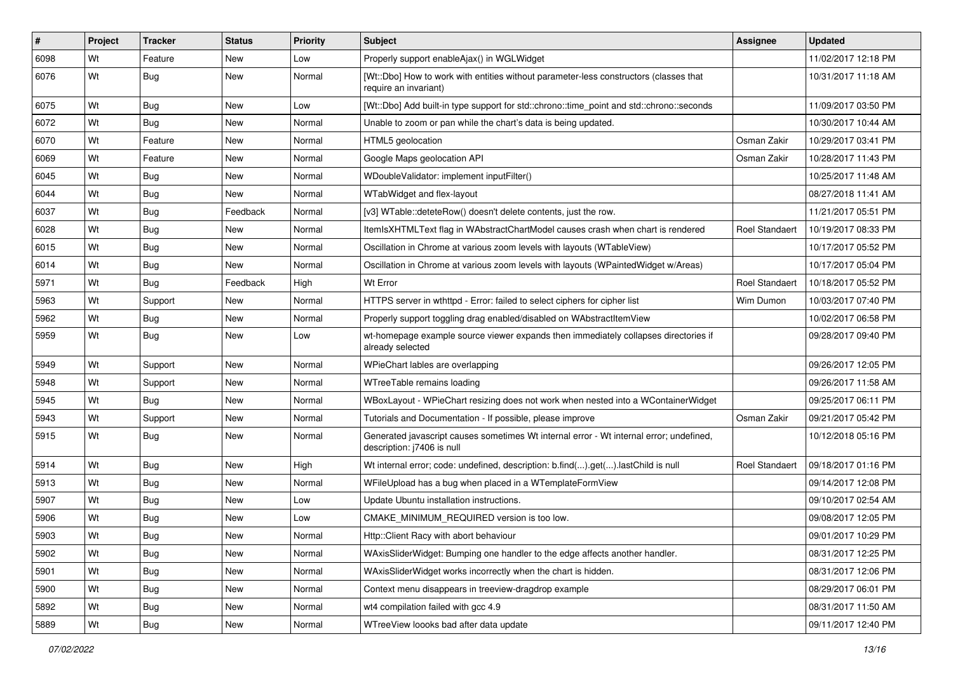| #    | Project | <b>Tracker</b> | <b>Status</b> | <b>Priority</b> | Subject                                                                                                               | <b>Assignee</b>       | <b>Updated</b>      |
|------|---------|----------------|---------------|-----------------|-----------------------------------------------------------------------------------------------------------------------|-----------------------|---------------------|
| 6098 | Wt      | Feature        | New           | Low             | Properly support enableAjax() in WGLWidget                                                                            |                       | 11/02/2017 12:18 PM |
| 6076 | Wt      | Bug            | New           | Normal          | [Wt::Dbo] How to work with entities without parameter-less constructors (classes that<br>require an invariant)        |                       | 10/31/2017 11:18 AM |
| 6075 | Wt      | Bug            | New           | Low             | [Wt::Dbo] Add built-in type support for std::chrono::time_point and std::chrono::seconds                              |                       | 11/09/2017 03:50 PM |
| 6072 | Wt      | Bug            | New           | Normal          | Unable to zoom or pan while the chart's data is being updated.                                                        |                       | 10/30/2017 10:44 AM |
| 6070 | Wt      | Feature        | New           | Normal          | HTML5 geolocation                                                                                                     | Osman Zakir           | 10/29/2017 03:41 PM |
| 6069 | Wt      | Feature        | New           | Normal          | Google Maps geolocation API                                                                                           | Osman Zakir           | 10/28/2017 11:43 PM |
| 6045 | Wt      | Bug            | New           | Normal          | WDoubleValidator: implement inputFilter()                                                                             |                       | 10/25/2017 11:48 AM |
| 6044 | Wt      | Bug            | New           | Normal          | WTabWidget and flex-layout                                                                                            |                       | 08/27/2018 11:41 AM |
| 6037 | Wt      | <b>Bug</b>     | Feedback      | Normal          | [v3] WTable::deteteRow() doesn't delete contents, just the row.                                                       |                       | 11/21/2017 05:51 PM |
| 6028 | Wt      | Bug            | New           | Normal          | ItemIsXHTMLText flag in WAbstractChartModel causes crash when chart is rendered                                       | <b>Roel Standaert</b> | 10/19/2017 08:33 PM |
| 6015 | Wt      | <b>Bug</b>     | New           | Normal          | Oscillation in Chrome at various zoom levels with layouts (WTableView)                                                |                       | 10/17/2017 05:52 PM |
| 6014 | Wt      | <b>Bug</b>     | New           | Normal          | Oscillation in Chrome at various zoom levels with layouts (WPaintedWidget w/Areas)                                    |                       | 10/17/2017 05:04 PM |
| 5971 | Wt      | Bug            | Feedback      | High            | Wt Error                                                                                                              | <b>Roel Standaert</b> | 10/18/2017 05:52 PM |
| 5963 | Wt      | Support        | New           | Normal          | HTTPS server in wthttpd - Error: failed to select ciphers for cipher list                                             | Wim Dumon             | 10/03/2017 07:40 PM |
| 5962 | Wt      | Bug            | New           | Normal          | Properly support toggling drag enabled/disabled on WAbstractItemView                                                  |                       | 10/02/2017 06:58 PM |
| 5959 | Wt      | <b>Bug</b>     | New           | Low             | wt-homepage example source viewer expands then immediately collapses directories if<br>already selected               |                       | 09/28/2017 09:40 PM |
| 5949 | Wt      | Support        | New           | Normal          | WPieChart lables are overlapping                                                                                      |                       | 09/26/2017 12:05 PM |
| 5948 | Wt      | Support        | New           | Normal          | WTreeTable remains loading                                                                                            |                       | 09/26/2017 11:58 AM |
| 5945 | Wt      | Bug            | New           | Normal          | WBoxLayout - WPieChart resizing does not work when nested into a WContainerWidget                                     |                       | 09/25/2017 06:11 PM |
| 5943 | Wt      | Support        | New           | Normal          | Tutorials and Documentation - If possible, please improve                                                             | Osman Zakir           | 09/21/2017 05:42 PM |
| 5915 | Wt      | <b>Bug</b>     | New           | Normal          | Generated javascript causes sometimes Wt internal error - Wt internal error; undefined,<br>description: j7406 is null |                       | 10/12/2018 05:16 PM |
| 5914 | Wt      | Bug            | New           | High            | Wt internal error; code: undefined, description: b.find().get().lastChild is null                                     | <b>Roel Standaert</b> | 09/18/2017 01:16 PM |
| 5913 | Wt      | <b>Bug</b>     | New           | Normal          | WFileUpload has a bug when placed in a WTemplateFormView                                                              |                       | 09/14/2017 12:08 PM |
| 5907 | Wt      | <b>Bug</b>     | New           | Low             | Update Ubuntu installation instructions.                                                                              |                       | 09/10/2017 02:54 AM |
| 5906 | Wt      | <b>Bug</b>     | New           | Low             | CMAKE MINIMUM REQUIRED version is too low.                                                                            |                       | 09/08/2017 12:05 PM |
| 5903 | Wt      | Bug            | New           | Normal          | Http:: Client Racy with abort behaviour                                                                               |                       | 09/01/2017 10:29 PM |
| 5902 | Wt      | Bug            | New           | Normal          | WAxisSliderWidget: Bumping one handler to the edge affects another handler.                                           |                       | 08/31/2017 12:25 PM |
| 5901 | Wt      | <b>Bug</b>     | New           | Normal          | WAxisSliderWidget works incorrectly when the chart is hidden.                                                         |                       | 08/31/2017 12:06 PM |
| 5900 | Wt      | <b>Bug</b>     | New           | Normal          | Context menu disappears in treeview-dragdrop example                                                                  |                       | 08/29/2017 06:01 PM |
| 5892 | Wt      | <b>Bug</b>     | New           | Normal          | wt4 compilation failed with gcc 4.9                                                                                   |                       | 08/31/2017 11:50 AM |
| 5889 | Wt      | <b>Bug</b>     | New           | Normal          | WTreeView loooks bad after data update                                                                                |                       | 09/11/2017 12:40 PM |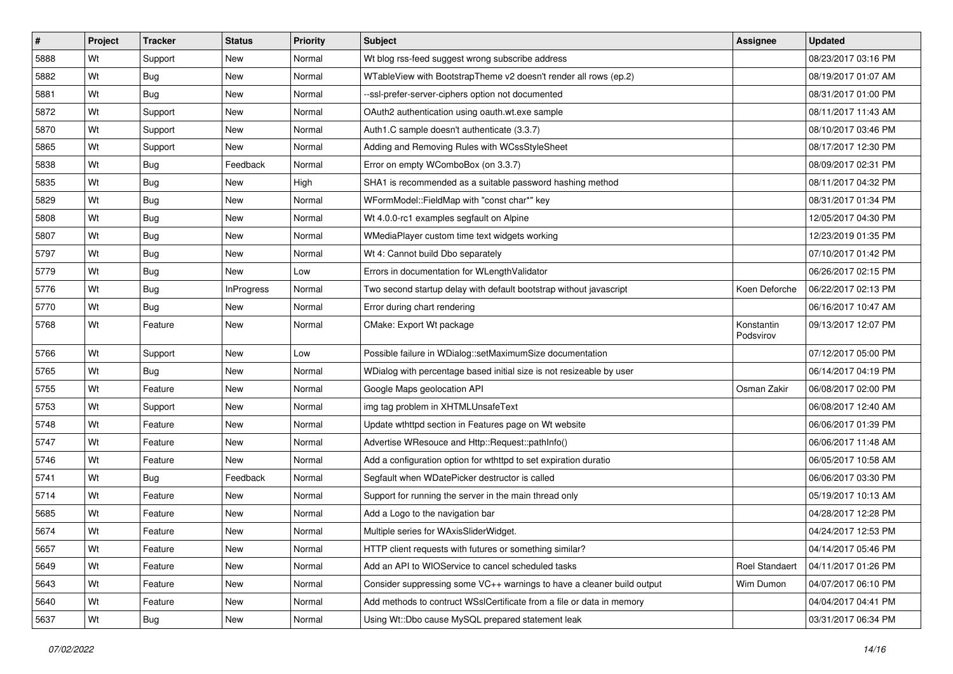| #    | Project | <b>Tracker</b> | <b>Status</b>     | <b>Priority</b> | Subject                                                                | <b>Assignee</b>         | <b>Updated</b>      |
|------|---------|----------------|-------------------|-----------------|------------------------------------------------------------------------|-------------------------|---------------------|
| 5888 | Wt      | Support        | New               | Normal          | Wt blog rss-feed suggest wrong subscribe address                       |                         | 08/23/2017 03:16 PM |
| 5882 | Wt      | <b>Bug</b>     | <b>New</b>        | Normal          | WTableView with BootstrapTheme v2 doesn't render all rows (ep.2)       |                         | 08/19/2017 01:07 AM |
| 5881 | Wt      | Bug            | New               | Normal          | --ssl-prefer-server-ciphers option not documented                      |                         | 08/31/2017 01:00 PM |
| 5872 | Wt      | Support        | New               | Normal          | OAuth2 authentication using oauth.wt.exe sample                        |                         | 08/11/2017 11:43 AM |
| 5870 | Wt      | Support        | <b>New</b>        | Normal          | Auth1.C sample doesn't authenticate (3.3.7)                            |                         | 08/10/2017 03:46 PM |
| 5865 | Wt      | Support        | New               | Normal          | Adding and Removing Rules with WCssStyleSheet                          |                         | 08/17/2017 12:30 PM |
| 5838 | Wt      | Bug            | Feedback          | Normal          | Error on empty WComboBox (on 3.3.7)                                    |                         | 08/09/2017 02:31 PM |
| 5835 | Wt      | Bug            | New               | High            | SHA1 is recommended as a suitable password hashing method              |                         | 08/11/2017 04:32 PM |
| 5829 | Wt      | <b>Bug</b>     | <b>New</b>        | Normal          | WFormModel::FieldMap with "const char*" key                            |                         | 08/31/2017 01:34 PM |
| 5808 | Wt      | Bug            | New               | Normal          | Wt 4.0.0-rc1 examples segfault on Alpine                               |                         | 12/05/2017 04:30 PM |
| 5807 | Wt      | <b>Bug</b>     | New               | Normal          | WMediaPlayer custom time text widgets working                          |                         | 12/23/2019 01:35 PM |
| 5797 | Wt      | Bug            | New               | Normal          | Wt 4: Cannot build Dbo separately                                      |                         | 07/10/2017 01:42 PM |
| 5779 | Wt      | Bug            | <b>New</b>        | Low             | Errors in documentation for WLengthValidator                           |                         | 06/26/2017 02:15 PM |
| 5776 | Wt      | Bug            | <b>InProgress</b> | Normal          | Two second startup delay with default bootstrap without javascript     | Koen Deforche           | 06/22/2017 02:13 PM |
| 5770 | Wt      | Bug            | <b>New</b>        | Normal          | Error during chart rendering                                           |                         | 06/16/2017 10:47 AM |
| 5768 | Wt      | Feature        | New               | Normal          | CMake: Export Wt package                                               | Konstantin<br>Podsvirov | 09/13/2017 12:07 PM |
| 5766 | Wt      | Support        | <b>New</b>        | Low             | Possible failure in WDialog::setMaximumSize documentation              |                         | 07/12/2017 05:00 PM |
| 5765 | Wt      | <b>Bug</b>     | New               | Normal          | WDialog with percentage based initial size is not resizeable by user   |                         | 06/14/2017 04:19 PM |
| 5755 | Wt      | Feature        | New               | Normal          | Google Maps geolocation API                                            | Osman Zakir             | 06/08/2017 02:00 PM |
| 5753 | Wt      | Support        | <b>New</b>        | Normal          | img tag problem in XHTMLUnsafeText                                     |                         | 06/08/2017 12:40 AM |
| 5748 | Wt      | Feature        | New               | Normal          | Update wthttpd section in Features page on Wt website                  |                         | 06/06/2017 01:39 PM |
| 5747 | Wt      | Feature        | New               | Normal          | Advertise WResouce and Http::Request::pathInfo()                       |                         | 06/06/2017 11:48 AM |
| 5746 | Wt      | Feature        | New               | Normal          | Add a configuration option for wthttpd to set expiration duratio       |                         | 06/05/2017 10:58 AM |
| 5741 | Wt      | Bug            | Feedback          | Normal          | Segfault when WDatePicker destructor is called                         |                         | 06/06/2017 03:30 PM |
| 5714 | Wt      | Feature        | <b>New</b>        | Normal          | Support for running the server in the main thread only                 |                         | 05/19/2017 10:13 AM |
| 5685 | Wt      | Feature        | New               | Normal          | Add a Logo to the navigation bar                                       |                         | 04/28/2017 12:28 PM |
| 5674 | Wt      | Feature        | New               | Normal          | Multiple series for WAxisSliderWidget.                                 |                         | 04/24/2017 12:53 PM |
| 5657 | Wt      | Feature        | New               | Normal          | HTTP client requests with futures or something similar?                |                         | 04/14/2017 05:46 PM |
| 5649 | Wt      | Feature        | New               | Normal          | Add an API to WIOService to cancel scheduled tasks                     | Roel Standaert          | 04/11/2017 01:26 PM |
| 5643 | Wt      | Feature        | New               | Normal          | Consider suppressing some VC++ warnings to have a cleaner build output | Wim Dumon               | 04/07/2017 06:10 PM |
| 5640 | Wt      | Feature        | New               | Normal          | Add methods to contruct WSslCertificate from a file or data in memory  |                         | 04/04/2017 04:41 PM |
| 5637 | Wt      | <b>Bug</b>     | New               | Normal          | Using Wt::Dbo cause MySQL prepared statement leak                      |                         | 03/31/2017 06:34 PM |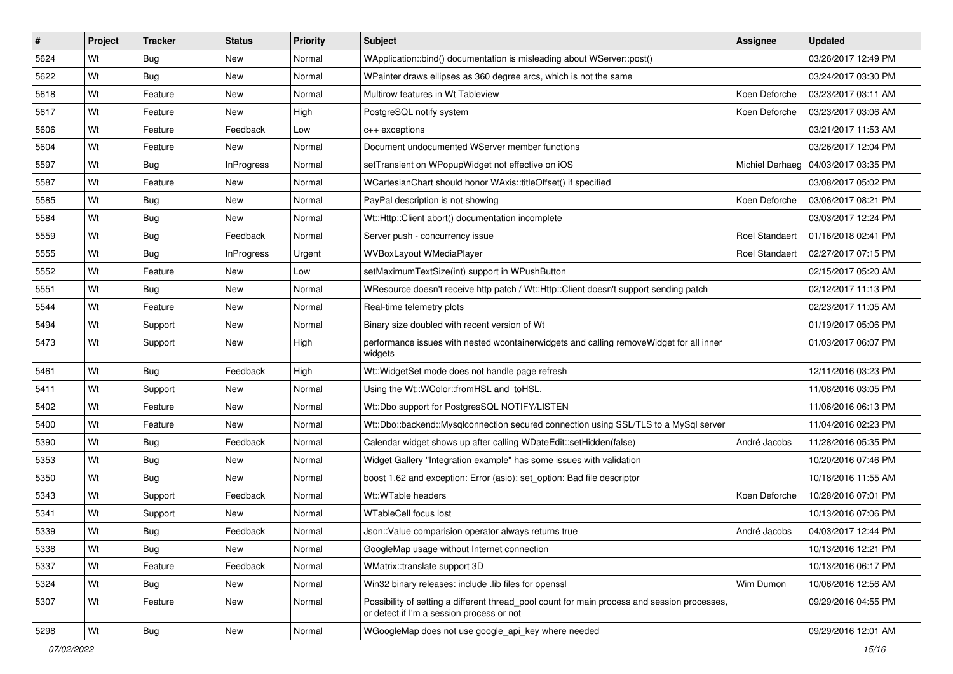| #    | Project | <b>Tracker</b> | <b>Status</b>     | <b>Priority</b> | Subject                                                                                                                                   | <b>Assignee</b>       | <b>Updated</b>                        |
|------|---------|----------------|-------------------|-----------------|-------------------------------------------------------------------------------------------------------------------------------------------|-----------------------|---------------------------------------|
| 5624 | Wt      | <b>Bug</b>     | New               | Normal          | WApplication::bind() documentation is misleading about WServer::post()                                                                    |                       | 03/26/2017 12:49 PM                   |
| 5622 | Wt      | Bug            | New               | Normal          | WPainter draws ellipses as 360 degree arcs, which is not the same                                                                         |                       | 03/24/2017 03:30 PM                   |
| 5618 | Wt      | Feature        | New               | Normal          | Multirow features in Wt Tableview                                                                                                         | Koen Deforche         | 03/23/2017 03:11 AM                   |
| 5617 | Wt      | Feature        | New               | High            | PostgreSQL notify system                                                                                                                  | Koen Deforche         | 03/23/2017 03:06 AM                   |
| 5606 | Wt      | Feature        | Feedback          | Low             | $c++$ exceptions                                                                                                                          |                       | 03/21/2017 11:53 AM                   |
| 5604 | Wt      | Feature        | New               | Normal          | Document undocumented WServer member functions                                                                                            |                       | 03/26/2017 12:04 PM                   |
| 5597 | Wt      | <b>Bug</b>     | <b>InProgress</b> | Normal          | setTransient on WPopupWidget not effective on iOS                                                                                         |                       | Michiel Derhaeg   04/03/2017 03:35 PM |
| 5587 | Wt      | Feature        | New               | Normal          | WCartesianChart should honor WAxis::titleOffset() if specified                                                                            |                       | 03/08/2017 05:02 PM                   |
| 5585 | Wt      | Bug            | New               | Normal          | PayPal description is not showing                                                                                                         | Koen Deforche         | 03/06/2017 08:21 PM                   |
| 5584 | Wt      | <b>Bug</b>     | New               | Normal          | Wt::Http::Client abort() documentation incomplete                                                                                         |                       | 03/03/2017 12:24 PM                   |
| 5559 | Wt      | <b>Bug</b>     | Feedback          | Normal          | Server push - concurrency issue                                                                                                           | Roel Standaert        | 01/16/2018 02:41 PM                   |
| 5555 | Wt      | <b>Bug</b>     | <b>InProgress</b> | Urgent          | <b>WVBoxLayout WMediaPlayer</b>                                                                                                           | <b>Roel Standaert</b> | 02/27/2017 07:15 PM                   |
| 5552 | Wt      | Feature        | New               | Low             | setMaximumTextSize(int) support in WPushButton                                                                                            |                       | 02/15/2017 05:20 AM                   |
| 5551 | Wt      | <b>Bug</b>     | New               | Normal          | WResource doesn't receive http patch / Wt::Http::Client doesn't support sending patch                                                     |                       | 02/12/2017 11:13 PM                   |
| 5544 | Wt      | Feature        | New               | Normal          | Real-time telemetry plots                                                                                                                 |                       | 02/23/2017 11:05 AM                   |
| 5494 | Wt      | Support        | New               | Normal          | Binary size doubled with recent version of Wt                                                                                             |                       | 01/19/2017 05:06 PM                   |
| 5473 | Wt      | Support        | New               | High            | performance issues with nested wcontainerwidgets and calling removeWidget for all inner<br>widgets                                        |                       | 01/03/2017 06:07 PM                   |
| 5461 | Wt      | Bug            | Feedback          | High            | Wt:: Widget Set mode does not handle page refresh                                                                                         |                       | 12/11/2016 03:23 PM                   |
| 5411 | Wt      | Support        | New               | Normal          | Using the Wt::WColor::fromHSL and toHSL.                                                                                                  |                       | 11/08/2016 03:05 PM                   |
| 5402 | Wt      | Feature        | New               | Normal          | Wt::Dbo support for PostgresSQL NOTIFY/LISTEN                                                                                             |                       | 11/06/2016 06:13 PM                   |
| 5400 | Wt      | Feature        | New               | Normal          | Wt::Dbo::backend::Mysqlconnection secured connection using SSL/TLS to a MySql server                                                      |                       | 11/04/2016 02:23 PM                   |
| 5390 | Wt      | Bug            | Feedback          | Normal          | Calendar widget shows up after calling WDateEdit::setHidden(false)                                                                        | André Jacobs          | 11/28/2016 05:35 PM                   |
| 5353 | Wt      | <b>Bug</b>     | New               | Normal          | Widget Gallery "Integration example" has some issues with validation                                                                      |                       | 10/20/2016 07:46 PM                   |
| 5350 | Wt      | Bug            | New               | Normal          | boost 1.62 and exception: Error (asio): set_option: Bad file descriptor                                                                   |                       | 10/18/2016 11:55 AM                   |
| 5343 | Wt      | Support        | Feedback          | Normal          | Wt::WTable headers                                                                                                                        | Koen Deforche         | 10/28/2016 07:01 PM                   |
| 5341 | Wt      | Support        | New               | Normal          | WTableCell focus lost                                                                                                                     |                       | 10/13/2016 07:06 PM                   |
| 5339 | Wt      | <b>Bug</b>     | Feedback          | Normal          | Json::Value comparision operator always returns true                                                                                      | André Jacobs          | 04/03/2017 12:44 PM                   |
| 5338 | Wt      | <b>Bug</b>     | New               | Normal          | GoogleMap usage without Internet connection                                                                                               |                       | 10/13/2016 12:21 PM                   |
| 5337 | Wt      | Feature        | Feedback          | Normal          | WMatrix::translate support 3D                                                                                                             |                       | 10/13/2016 06:17 PM                   |
| 5324 | Wt      | <b>Bug</b>     | New               | Normal          | Win32 binary releases: include .lib files for openssl                                                                                     | Wim Dumon             | 10/06/2016 12:56 AM                   |
| 5307 | Wt      | Feature        | New               | Normal          | Possibility of setting a different thread_pool count for main process and session processes,<br>or detect if I'm a session process or not |                       | 09/29/2016 04:55 PM                   |
| 5298 | Wt      | Bug            | New               | Normal          | WGoogleMap does not use google_api_key where needed                                                                                       |                       | 09/29/2016 12:01 AM                   |